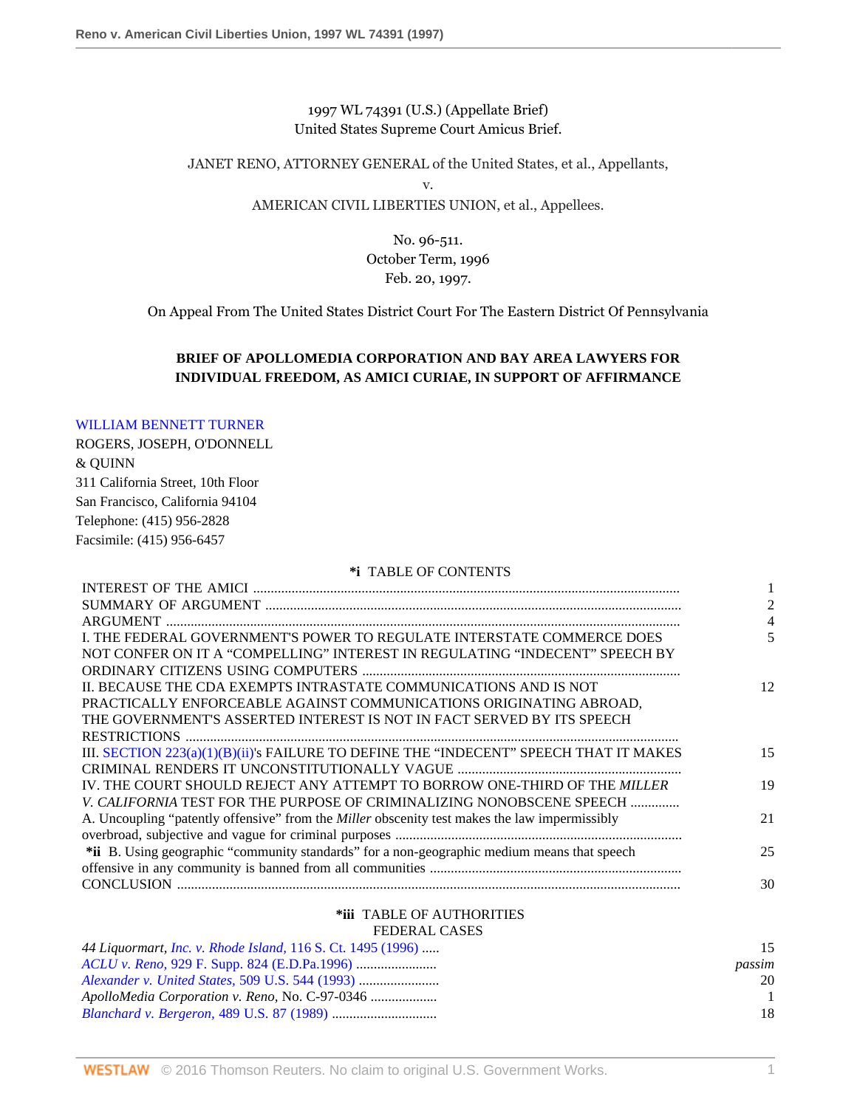1997 WL 74391 (U.S.) (Appellate Brief) United States Supreme Court Amicus Brief.

JANET RENO, ATTORNEY GENERAL of the United States, et al., Appellants,

v.

### AMERICAN CIVIL LIBERTIES UNION, et al., Appellees.

No. 96-511. October Term, 1996 Feb. 20, 1997.

On Appeal From The United States District Court For The Eastern District Of Pennsylvania

### **BRIEF OF APOLLOMEDIA CORPORATION AND BAY AREA LAWYERS FOR INDIVIDUAL FREEDOM, AS AMICI CURIAE, IN SUPPORT OF AFFIRMANCE**

### [WILLIAM BENNETT TURNER](http://www.westlaw.com/Link/Document/FullText?findType=h&pubNum=176284&cite=0215060601&originatingDoc=Iac6ea13847be11d98915dbcd77ee80bc&refType=RQ&originationContext=document&vr=3.0&rs=cblt1.0&transitionType=DocumentItem&contextData=(sc.Search))

ROGERS, JOSEPH, O'DONNELL & QUINN 311 California Street, 10th Floor San Francisco, California 94104 Telephone: (415) 956-2828 Facsimile: (415) 956-6457

#### **\*i** TABLE OF CONTENTS

| I. THE FEDERAL GOVERNMENT'S POWER TO REGULATE INTERSTATE COMMERCE DOES                               |    |
|------------------------------------------------------------------------------------------------------|----|
| NOT CONFER ON IT A "COMPELLING" INTEREST IN REGULATING "INDECENT" SPEECH BY                          |    |
|                                                                                                      |    |
| II. BECAUSE THE CDA EXEMPTS INTRASTATE COMMUNICATIONS AND IS NOT                                     | 12 |
| PRACTICALLY ENFORCEABLE AGAINST COMMUNICATIONS ORIGINATING ABROAD,                                   |    |
| THE GOVERNMENT'S ASSERTED INTEREST IS NOT IN FACT SERVED BY ITS SPEECH                               |    |
|                                                                                                      |    |
| III. SECTION 223(a)(1)(B)(ii)'s FAILURE TO DEFINE THE "INDECENT" SPEECH THAT IT MAKES                | 15 |
|                                                                                                      |    |
| IV. THE COURT SHOULD REJECT ANY ATTEMPT TO BORROW ONE-THIRD OF THE MILLER                            | 19 |
| <i>V. CALIFORNIA</i> TEST FOR THE PURPOSE OF CRIMINALIZING NONOBSCENE SPEECH                         |    |
| A. Uncoupling "patently offensive" from the <i>Miller</i> obscenity test makes the law impermissibly | 21 |
|                                                                                                      |    |
| *ii B. Using geographic "community standards" for a non-geographic medium means that speech          | 25 |
|                                                                                                      |    |
|                                                                                                      | 30 |
|                                                                                                      |    |

## **\*iii** TABLE OF AUTHORITIES

### FEDERAL CASES

| 44 Liquormart, Inc. v. Rhode Island, 116 S. Ct. 1495 (1996) | 15     |
|-------------------------------------------------------------|--------|
|                                                             | passim |
|                                                             | 20     |
|                                                             |        |
| <i>Blanchard v. Bergeron, 489 U.S. 87 (1989) </i>           | 18     |
|                                                             |        |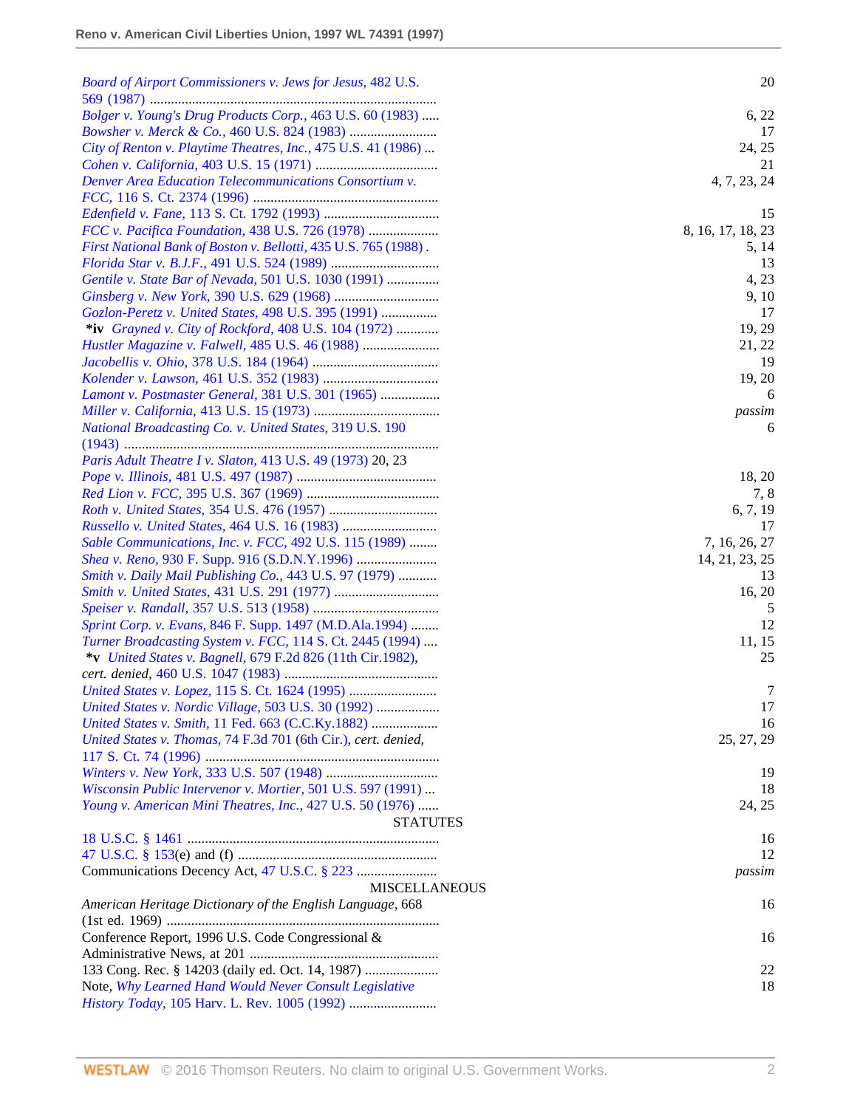| Board of Airport Commissioners v. Jews for Jesus, 482 U.S.      | 20                |
|-----------------------------------------------------------------|-------------------|
|                                                                 |                   |
| Bolger v. Young's Drug Products Corp., 463 U.S. 60 (1983)       | 6, 22             |
|                                                                 | 17                |
| City of Renton v. Playtime Theatres, Inc., 475 U.S. 41 (1986)   | 24, 25            |
|                                                                 | 21                |
| Denver Area Education Telecommunications Consortium v.          | 4, 7, 23, 24      |
|                                                                 | 15                |
| FCC v. Pacifica Foundation, 438 U.S. 726 (1978)                 | 8, 16, 17, 18, 23 |
| First National Bank of Boston v. Bellotti, 435 U.S. 765 (1988). | 5, 14             |
|                                                                 | 13                |
| Gentile v. State Bar of Nevada, 501 U.S. 1030 (1991)            | 4, 23             |
|                                                                 | 9, 10             |
| Gozlon-Peretz v. United States, 498 U.S. 395 (1991)             | 17                |
| *iv Grayned v. City of Rockford, 408 U.S. 104 (1972)            | 19, 29            |
|                                                                 | 21, 22            |
|                                                                 | 19                |
|                                                                 | 19, 20            |
| Lamont v. Postmaster General, 381 U.S. 301 (1965)               | 6                 |
|                                                                 | passim            |
| National Broadcasting Co. v. United States, 319 U.S. 190        | 6                 |
| Paris Adult Theatre I v. Slaton, 413 U.S. 49 (1973) 20, 23      |                   |
|                                                                 | 18, 20            |
|                                                                 | 7, 8              |
|                                                                 | 6, 7, 19          |
| Russello v. United States, 464 U.S. 16 (1983)                   | 17                |
| Sable Communications, Inc. v. FCC, 492 U.S. 115 (1989)          | 7, 16, 26, 27     |
|                                                                 | 14, 21, 23, 25    |
| Smith v. Daily Mail Publishing Co., 443 U.S. 97 (1979)          | 13                |
|                                                                 | 16, 20            |
|                                                                 | 5                 |
| Sprint Corp. v. Evans, 846 F. Supp. 1497 (M.D.Ala.1994)         | 12                |
| Turner Broadcasting System v. FCC, 114 S. Ct. 2445 (1994)       | 11, 15            |
| *v United States v. Bagnell, 679 F.2d 826 (11th Cir.1982),      | 25                |
|                                                                 |                   |
|                                                                 | 7                 |
| United States v. Nordic Village, 503 U.S. 30 (1992)             | 17                |
| United States v. Smith, 11 Fed. 663 (C.C.Ky.1882)               | 16                |
| United States v. Thomas, 74 F.3d 701 (6th Cir.), cert. denied,  | 25, 27, 29        |
|                                                                 |                   |
|                                                                 | 19                |
| Wisconsin Public Intervenor v. Mortier, 501 U.S. 597 (1991)     | 18                |
| Young v. American Mini Theatres, Inc., 427 U.S. 50 (1976)       | 24, 25            |
| <b>STATUTES</b>                                                 |                   |
|                                                                 | 16                |
|                                                                 | 12                |
|                                                                 | passim            |
| <b>MISCELLANEOUS</b>                                            |                   |
| American Heritage Dictionary of the English Language, 668       | 16                |
|                                                                 |                   |
| Conference Report, 1996 U.S. Code Congressional &               | 16                |
|                                                                 |                   |
| 133 Cong. Rec. § 14203 (daily ed. Oct. 14, 1987)                | 22                |
| Note, Why Learned Hand Would Never Consult Legislative          | 18                |
|                                                                 |                   |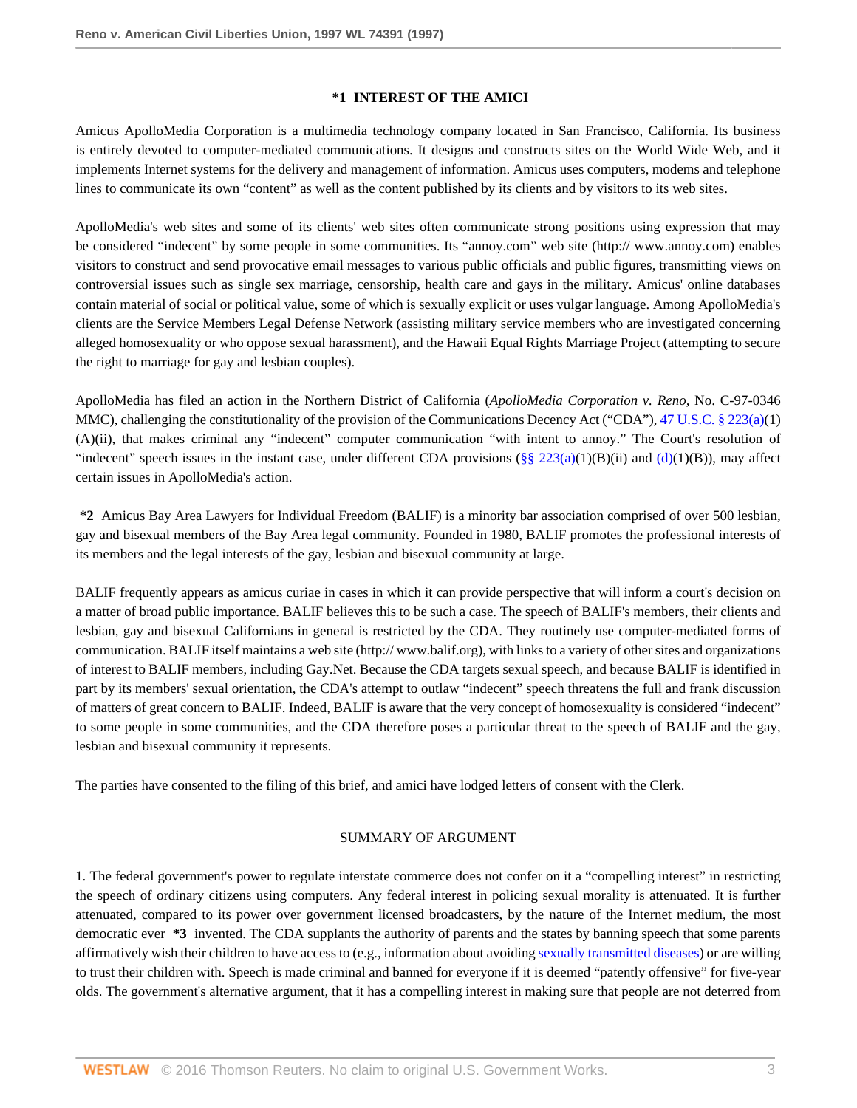### **\*1 INTEREST OF THE AMICI**

Amicus ApolloMedia Corporation is a multimedia technology company located in San Francisco, California. Its business is entirely devoted to computer-mediated communications. It designs and constructs sites on the World Wide Web, and it implements Internet systems for the delivery and management of information. Amicus uses computers, modems and telephone lines to communicate its own "content" as well as the content published by its clients and by visitors to its web sites.

ApolloMedia's web sites and some of its clients' web sites often communicate strong positions using expression that may be considered "indecent" by some people in some communities. Its "annoy.com" web site (http:// www.annoy.com) enables visitors to construct and send provocative email messages to various public officials and public figures, transmitting views on controversial issues such as single sex marriage, censorship, health care and gays in the military. Amicus' online databases contain material of social or political value, some of which is sexually explicit or uses vulgar language. Among ApolloMedia's clients are the Service Members Legal Defense Network (assisting military service members who are investigated concerning alleged homosexuality or who oppose sexual harassment), and the Hawaii Equal Rights Marriage Project (attempting to secure the right to marriage for gay and lesbian couples).

ApolloMedia has filed an action in the Northern District of California (*ApolloMedia Corporation v. Reno,* No. C-97-0346 MMC), challenging the constitutionality of the provision of the Communications Decency Act ("CDA"), [47 U.S.C. § 223\(a\)](http://www.westlaw.com/Link/Document/FullText?findType=L&pubNum=1000546&cite=47USCAS223&originatingDoc=Iac6ea13847be11d98915dbcd77ee80bc&refType=RB&originationContext=document&vr=3.0&rs=cblt1.0&transitionType=DocumentItem&contextData=(sc.Search)#co_pp_8b3b0000958a4)(1) (A)(ii), that makes criminal any "indecent" computer communication "with intent to annoy." The Court's resolution of "indecent" speech issues in the instant case, under different CDA provisions  $(\S \S 223(a)(1)(B)(ii)$  and  $(d)(1)(B))$  $(d)(1)(B))$ , may affect certain issues in ApolloMedia's action.

**\*2** Amicus Bay Area Lawyers for Individual Freedom (BALIF) is a minority bar association comprised of over 500 lesbian, gay and bisexual members of the Bay Area legal community. Founded in 1980, BALIF promotes the professional interests of its members and the legal interests of the gay, lesbian and bisexual community at large.

BALIF frequently appears as amicus curiae in cases in which it can provide perspective that will inform a court's decision on a matter of broad public importance. BALIF believes this to be such a case. The speech of BALIF's members, their clients and lesbian, gay and bisexual Californians in general is restricted by the CDA. They routinely use computer-mediated forms of communication. BALIF itself maintains a web site (http:// www.balif.org), with links to a variety of other sites and organizations of interest to BALIF members, including Gay.Net. Because the CDA targets sexual speech, and because BALIF is identified in part by its members' sexual orientation, the CDA's attempt to outlaw "indecent" speech threatens the full and frank discussion of matters of great concern to BALIF. Indeed, BALIF is aware that the very concept of homosexuality is considered "indecent" to some people in some communities, and the CDA therefore poses a particular threat to the speech of BALIF and the gay, lesbian and bisexual community it represents.

The parties have consented to the filing of this brief, and amici have lodged letters of consent with the Clerk.

#### SUMMARY OF ARGUMENT

1. The federal government's power to regulate interstate commerce does not confer on it a "compelling interest" in restricting the speech of ordinary citizens using computers. Any federal interest in policing sexual morality is attenuated. It is further attenuated, compared to its power over government licensed broadcasters, by the nature of the Internet medium, the most democratic ever **\*3** invented. The CDA supplants the authority of parents and the states by banning speech that some parents affirmatively wish their children to have access to (e.g., information about avoiding [sexually transmitted diseases\)](http://www.westlaw.com/Link/Document/FullText?entityType=disease&entityId=Ic8edbc8c475411db9765f9243f53508a&originationContext=document&transitionType=DocumentItem&contextData=(sc.Default)&vr=3.0&rs=cblt1.0) or are willing to trust their children with. Speech is made criminal and banned for everyone if it is deemed "patently offensive" for five-year olds. The government's alternative argument, that it has a compelling interest in making sure that people are not deterred from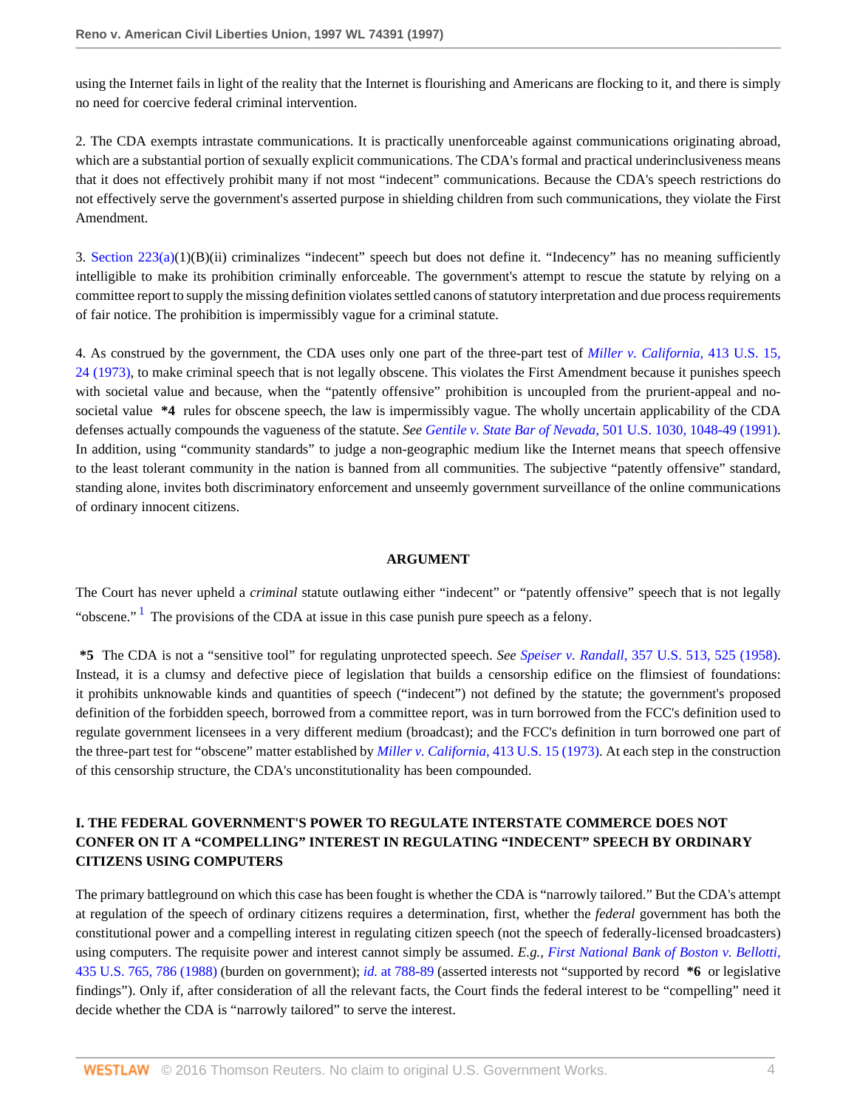using the Internet fails in light of the reality that the Internet is flourishing and Americans are flocking to it, and there is simply no need for coercive federal criminal intervention.

2. The CDA exempts intrastate communications. It is practically unenforceable against communications originating abroad, which are a substantial portion of sexually explicit communications. The CDA's formal and practical underinclusiveness means that it does not effectively prohibit many if not most "indecent" communications. Because the CDA's speech restrictions do not effectively serve the government's asserted purpose in shielding children from such communications, they violate the First Amendment.

3. Section  $223(a)(1)(B)(ii)$  criminalizes "indecent" speech but does not define it. "Indecency" has no meaning sufficiently intelligible to make its prohibition criminally enforceable. The government's attempt to rescue the statute by relying on a committee report to supply the missing definition violates settled canons of statutory interpretation and due process requirements of fair notice. The prohibition is impermissibly vague for a criminal statute.

4. As construed by the government, the CDA uses only one part of the three-part test of *[Miller v. California,](http://www.westlaw.com/Link/Document/FullText?findType=Y&serNum=1973126439&pubNum=780&originatingDoc=Iac6ea13847be11d98915dbcd77ee80bc&refType=RP&fi=co_pp_sp_780_24&originationContext=document&vr=3.0&rs=cblt1.0&transitionType=DocumentItem&contextData=(sc.Search)#co_pp_sp_780_24)* 413 U.S. 15, [24 \(1973\)](http://www.westlaw.com/Link/Document/FullText?findType=Y&serNum=1973126439&pubNum=780&originatingDoc=Iac6ea13847be11d98915dbcd77ee80bc&refType=RP&fi=co_pp_sp_780_24&originationContext=document&vr=3.0&rs=cblt1.0&transitionType=DocumentItem&contextData=(sc.Search)#co_pp_sp_780_24), to make criminal speech that is not legally obscene. This violates the First Amendment because it punishes speech with societal value and because, when the "patently offensive" prohibition is uncoupled from the prurient-appeal and nosocietal value **\*4** rules for obscene speech, the law is impermissibly vague. The wholly uncertain applicability of the CDA defenses actually compounds the vagueness of the statute. *See Gentile v. State Bar of Nevada,* [501 U.S. 1030, 1048-49 \(1991\).](http://www.westlaw.com/Link/Document/FullText?findType=Y&serNum=1991116017&pubNum=780&originatingDoc=Iac6ea13847be11d98915dbcd77ee80bc&refType=RP&fi=co_pp_sp_780_1048&originationContext=document&vr=3.0&rs=cblt1.0&transitionType=DocumentItem&contextData=(sc.Search)#co_pp_sp_780_1048) In addition, using "community standards" to judge a non-geographic medium like the Internet means that speech offensive to the least tolerant community in the nation is banned from all communities. The subjective "patently offensive" standard, standing alone, invites both discriminatory enforcement and unseemly government surveillance of the online communications of ordinary innocent citizens.

#### **ARGUMENT**

<span id="page-3-0"></span>The Court has never upheld a *criminal* statute outlawing either "indecent" or "patently offensive" speech that is not legally "obscene."<sup>[1](#page-12-0)</sup> The provisions of the CDA at issue in this case punish pure speech as a felony.

**\*5** The CDA is not a "sensitive tool" for regulating unprotected speech. *See Speiser v. Randall,* [357 U.S. 513, 525 \(1958\)](http://www.westlaw.com/Link/Document/FullText?findType=Y&serNum=1958121488&pubNum=780&originatingDoc=Iac6ea13847be11d98915dbcd77ee80bc&refType=RP&fi=co_pp_sp_780_525&originationContext=document&vr=3.0&rs=cblt1.0&transitionType=DocumentItem&contextData=(sc.Search)#co_pp_sp_780_525). Instead, it is a clumsy and defective piece of legislation that builds a censorship edifice on the flimsiest of foundations: it prohibits unknowable kinds and quantities of speech ("indecent") not defined by the statute; the government's proposed definition of the forbidden speech, borrowed from a committee report, was in turn borrowed from the FCC's definition used to regulate government licensees in a very different medium (broadcast); and the FCC's definition in turn borrowed one part of the three-part test for "obscene" matter established by *[Miller v. California,](http://www.westlaw.com/Link/Document/FullText?findType=Y&serNum=1973126439&pubNum=780&originatingDoc=Iac6ea13847be11d98915dbcd77ee80bc&refType=RP&originationContext=document&vr=3.0&rs=cblt1.0&transitionType=DocumentItem&contextData=(sc.Search))* 413 U.S. 15 (1973). At each step in the construction of this censorship structure, the CDA's unconstitutionality has been compounded.

## **I. THE FEDERAL GOVERNMENT'S POWER TO REGULATE INTERSTATE COMMERCE DOES NOT CONFER ON IT A "COMPELLING" INTEREST IN REGULATING "INDECENT" SPEECH BY ORDINARY CITIZENS USING COMPUTERS**

The primary battleground on which this case has been fought is whether the CDA is "narrowly tailored." But the CDA's attempt at regulation of the speech of ordinary citizens requires a determination, first, whether the *federal* government has both the constitutional power and a compelling interest in regulating citizen speech (not the speech of federally-licensed broadcasters) using computers. The requisite power and interest cannot simply be assumed. *E.g., [First National Bank of Boston v. Bellotti,](http://www.westlaw.com/Link/Document/FullText?findType=Y&serNum=1978114223&pubNum=780&originatingDoc=Iac6ea13847be11d98915dbcd77ee80bc&refType=RP&fi=co_pp_sp_780_786&originationContext=document&vr=3.0&rs=cblt1.0&transitionType=DocumentItem&contextData=(sc.Search)#co_pp_sp_780_786)* [435 U.S. 765, 786 \(1988\)](http://www.westlaw.com/Link/Document/FullText?findType=Y&serNum=1978114223&pubNum=780&originatingDoc=Iac6ea13847be11d98915dbcd77ee80bc&refType=RP&fi=co_pp_sp_780_786&originationContext=document&vr=3.0&rs=cblt1.0&transitionType=DocumentItem&contextData=(sc.Search)#co_pp_sp_780_786) (burden on government); *id.* [at 788-89](http://www.westlaw.com/Link/Document/FullText?findType=Y&serNum=1978114223&originatingDoc=Iac6ea13847be11d98915dbcd77ee80bc&refType=RP&originationContext=document&vr=3.0&rs=cblt1.0&transitionType=DocumentItem&contextData=(sc.Search)) (asserted interests not "supported by record **\*6** or legislative findings"). Only if, after consideration of all the relevant facts, the Court finds the federal interest to be "compelling" need it decide whether the CDA is "narrowly tailored" to serve the interest.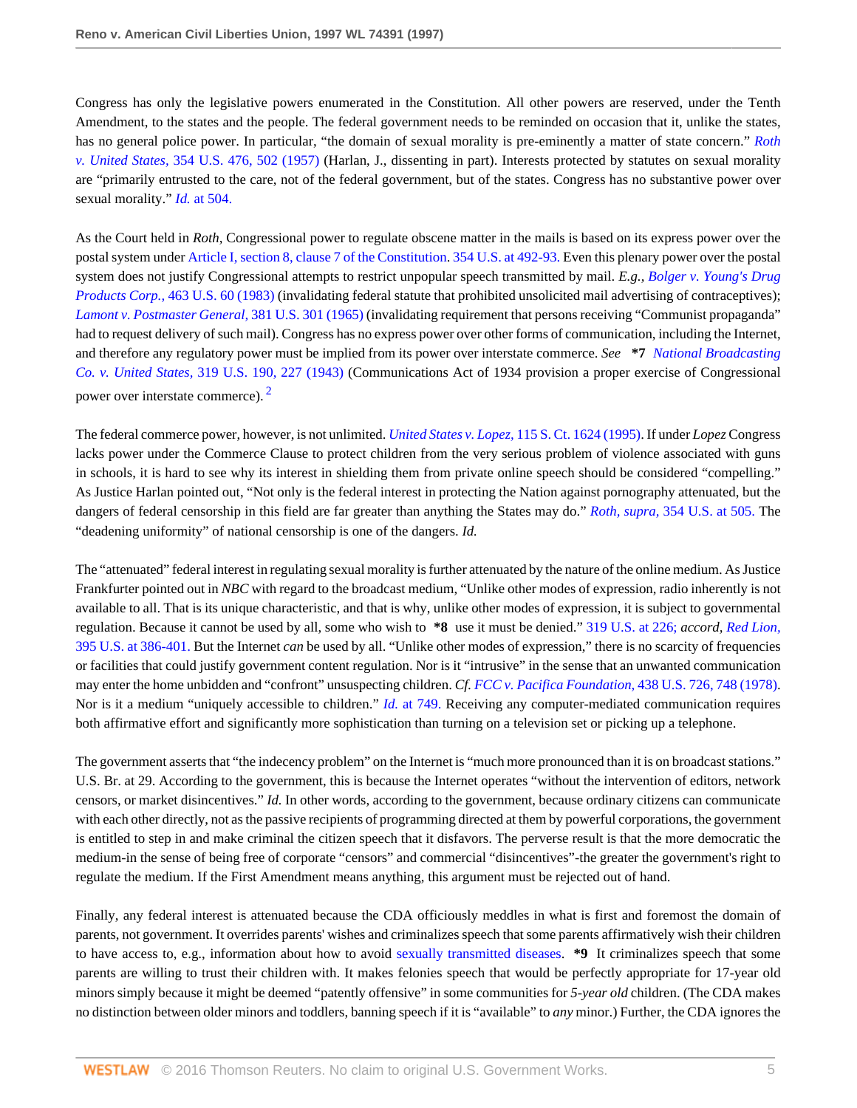Congress has only the legislative powers enumerated in the Constitution. All other powers are reserved, under the Tenth Amendment, to the states and the people. The federal government needs to be reminded on occasion that it, unlike the states, has no general police power. In particular, "the domain of sexual morality is pre-eminently a matter of state concern." *[Roth](http://www.westlaw.com/Link/Document/FullText?findType=Y&serNum=1957120394&pubNum=780&originatingDoc=Iac6ea13847be11d98915dbcd77ee80bc&refType=RP&fi=co_pp_sp_780_502&originationContext=document&vr=3.0&rs=cblt1.0&transitionType=DocumentItem&contextData=(sc.Search)#co_pp_sp_780_502) v. United States,* [354 U.S. 476, 502 \(1957\)](http://www.westlaw.com/Link/Document/FullText?findType=Y&serNum=1957120394&pubNum=780&originatingDoc=Iac6ea13847be11d98915dbcd77ee80bc&refType=RP&fi=co_pp_sp_780_502&originationContext=document&vr=3.0&rs=cblt1.0&transitionType=DocumentItem&contextData=(sc.Search)#co_pp_sp_780_502) (Harlan, J., dissenting in part). Interests protected by statutes on sexual morality are "primarily entrusted to the care, not of the federal government, but of the states. Congress has no substantive power over sexual morality." *Id.* [at 504.](http://www.westlaw.com/Link/Document/FullText?findType=Y&serNum=1957120394&originatingDoc=Iac6ea13847be11d98915dbcd77ee80bc&refType=RP&originationContext=document&vr=3.0&rs=cblt1.0&transitionType=DocumentItem&contextData=(sc.Search))

As the Court held in *Roth,* Congressional power to regulate obscene matter in the mails is based on its express power over the postal system under [Article I, section 8, clause 7 of the Constitution](http://www.westlaw.com/Link/Document/FullText?findType=L&pubNum=1000546&cite=USCOARTIS8CL7&originatingDoc=Iac6ea13847be11d98915dbcd77ee80bc&refType=LQ&originationContext=document&vr=3.0&rs=cblt1.0&transitionType=DocumentItem&contextData=(sc.Search)). [354 U.S. at 492-93.](http://www.westlaw.com/Link/Document/FullText?findType=Y&serNum=1957120394&pubNum=780&originatingDoc=Iac6ea13847be11d98915dbcd77ee80bc&refType=RP&fi=co_pp_sp_780_492&originationContext=document&vr=3.0&rs=cblt1.0&transitionType=DocumentItem&contextData=(sc.Search)#co_pp_sp_780_492) Even this plenary power over the postal system does not justify Congressional attempts to restrict unpopular speech transmitted by mail. *E.g., [Bolger v. Young's Drug](http://www.westlaw.com/Link/Document/FullText?findType=Y&serNum=1983129662&pubNum=780&originatingDoc=Iac6ea13847be11d98915dbcd77ee80bc&refType=RP&originationContext=document&vr=3.0&rs=cblt1.0&transitionType=DocumentItem&contextData=(sc.Search)) Products Corp.*, [463 U.S. 60 \(1983\)](http://www.westlaw.com/Link/Document/FullText?findType=Y&serNum=1983129662&pubNum=780&originatingDoc=Iac6ea13847be11d98915dbcd77ee80bc&refType=RP&originationContext=document&vr=3.0&rs=cblt1.0&transitionType=DocumentItem&contextData=(sc.Search)) (invalidating federal statute that prohibited unsolicited mail advertising of contraceptives); *[Lamont v. Postmaster General,](http://www.westlaw.com/Link/Document/FullText?findType=Y&serNum=1965102972&pubNum=780&originatingDoc=Iac6ea13847be11d98915dbcd77ee80bc&refType=RP&originationContext=document&vr=3.0&rs=cblt1.0&transitionType=DocumentItem&contextData=(sc.Search))* 381 U.S. 301 (1965) (invalidating requirement that persons receiving "Communist propaganda" had to request delivery of such mail). Congress has no express power over other forms of communication, including the Internet, and therefore any regulatory power must be implied from its power over interstate commerce. *See* **\*7** *[National Broadcasting](http://www.westlaw.com/Link/Document/FullText?findType=Y&serNum=1943120664&pubNum=780&originatingDoc=Iac6ea13847be11d98915dbcd77ee80bc&refType=RP&fi=co_pp_sp_780_227&originationContext=document&vr=3.0&rs=cblt1.0&transitionType=DocumentItem&contextData=(sc.Search)#co_pp_sp_780_227) Co. v. United States,* [319 U.S. 190, 227 \(1943\)](http://www.westlaw.com/Link/Document/FullText?findType=Y&serNum=1943120664&pubNum=780&originatingDoc=Iac6ea13847be11d98915dbcd77ee80bc&refType=RP&fi=co_pp_sp_780_227&originationContext=document&vr=3.0&rs=cblt1.0&transitionType=DocumentItem&contextData=(sc.Search)#co_pp_sp_780_227) (Communications Act of 1934 provision a proper exercise of Congressional power over interstate commerce). <sup>[2](#page-12-1)</sup>

<span id="page-4-0"></span>The federal commerce power, however, is not unlimited. *United States v. Lopez,* [115 S. Ct. 1624 \(1995\).](http://www.westlaw.com/Link/Document/FullText?findType=Y&serNum=1995096321&pubNum=708&originatingDoc=Iac6ea13847be11d98915dbcd77ee80bc&refType=RP&originationContext=document&vr=3.0&rs=cblt1.0&transitionType=DocumentItem&contextData=(sc.Search)) If under *Lopez* Congress lacks power under the Commerce Clause to protect children from the very serious problem of violence associated with guns in schools, it is hard to see why its interest in shielding them from private online speech should be considered "compelling." As Justice Harlan pointed out, "Not only is the federal interest in protecting the Nation against pornography attenuated, but the dangers of federal censorship in this field are far greater than anything the States may do." *Roth, supra,* [354 U.S. at 505.](http://www.westlaw.com/Link/Document/FullText?findType=Y&serNum=1957120394&pubNum=780&originatingDoc=Iac6ea13847be11d98915dbcd77ee80bc&refType=RP&fi=co_pp_sp_780_505&originationContext=document&vr=3.0&rs=cblt1.0&transitionType=DocumentItem&contextData=(sc.Search)#co_pp_sp_780_505) The "deadening uniformity" of national censorship is one of the dangers. *Id.*

The "attenuated" federal interest in regulating sexual morality is further attenuated by the nature of the online medium. As Justice Frankfurter pointed out in *NBC* with regard to the broadcast medium, "Unlike other modes of expression, radio inherently is not available to all. That is its unique characteristic, and that is why, unlike other modes of expression, it is subject to governmental regulation. Because it cannot be used by all, some who wish to **\*8** use it must be denied." [319 U.S. at 226;](http://www.westlaw.com/Link/Document/FullText?findType=Y&serNum=1943120664&pubNum=780&originatingDoc=Iac6ea13847be11d98915dbcd77ee80bc&refType=RP&fi=co_pp_sp_780_226&originationContext=document&vr=3.0&rs=cblt1.0&transitionType=DocumentItem&contextData=(sc.Search)#co_pp_sp_780_226) *accord, [Red Lion,](http://www.westlaw.com/Link/Document/FullText?findType=Y&serNum=1969133002&pubNum=780&originatingDoc=Iac6ea13847be11d98915dbcd77ee80bc&refType=RP&fi=co_pp_sp_780_386&originationContext=document&vr=3.0&rs=cblt1.0&transitionType=DocumentItem&contextData=(sc.Search)#co_pp_sp_780_386)* [395 U.S. at 386-401.](http://www.westlaw.com/Link/Document/FullText?findType=Y&serNum=1969133002&pubNum=780&originatingDoc=Iac6ea13847be11d98915dbcd77ee80bc&refType=RP&fi=co_pp_sp_780_386&originationContext=document&vr=3.0&rs=cblt1.0&transitionType=DocumentItem&contextData=(sc.Search)#co_pp_sp_780_386) But the Internet *can* be used by all. "Unlike other modes of expression," there is no scarcity of frequencies or facilities that could justify government content regulation. Nor is it "intrusive" in the sense that an unwanted communication may enter the home unbidden and "confront" unsuspecting children. *Cf. [FCC v. Pacifica Foundation,](http://www.westlaw.com/Link/Document/FullText?findType=Y&serNum=1978139517&pubNum=780&originatingDoc=Iac6ea13847be11d98915dbcd77ee80bc&refType=RP&fi=co_pp_sp_780_748&originationContext=document&vr=3.0&rs=cblt1.0&transitionType=DocumentItem&contextData=(sc.Search)#co_pp_sp_780_748)* 438 U.S. 726, 748 (1978). Nor is it a medium "uniquely accessible to children." *Id.* [at 749.](http://www.westlaw.com/Link/Document/FullText?findType=Y&serNum=1978139517&originatingDoc=Iac6ea13847be11d98915dbcd77ee80bc&refType=RP&originationContext=document&vr=3.0&rs=cblt1.0&transitionType=DocumentItem&contextData=(sc.Search)) Receiving any computer-mediated communication requires both affirmative effort and significantly more sophistication than turning on a television set or picking up a telephone.

The government asserts that "the indecency problem" on the Internet is "much more pronounced than it is on broadcast stations." U.S. Br. at 29. According to the government, this is because the Internet operates "without the intervention of editors, network censors, or market disincentives." *Id.* In other words, according to the government, because ordinary citizens can communicate with each other directly, not as the passive recipients of programming directed at them by powerful corporations, the government is entitled to step in and make criminal the citizen speech that it disfavors. The perverse result is that the more democratic the medium-in the sense of being free of corporate "censors" and commercial "disincentives"-the greater the government's right to regulate the medium. If the First Amendment means anything, this argument must be rejected out of hand.

Finally, any federal interest is attenuated because the CDA officiously meddles in what is first and foremost the domain of parents, not government. It overrides parents' wishes and criminalizes speech that some parents affirmatively wish their children to have access to, e.g., information about how to avoid [sexually transmitted diseases](http://www.westlaw.com/Link/Document/FullText?entityType=disease&entityId=Ic8edbc8c475411db9765f9243f53508a&originationContext=document&transitionType=DocumentItem&contextData=(sc.Default)&vr=3.0&rs=cblt1.0). **\*9** It criminalizes speech that some parents are willing to trust their children with. It makes felonies speech that would be perfectly appropriate for 17-year old minors simply because it might be deemed "patently offensive" in some communities for *5-year old* children. (The CDA makes no distinction between older minors and toddlers, banning speech if it is "available" to *any* minor.) Further, the CDA ignores the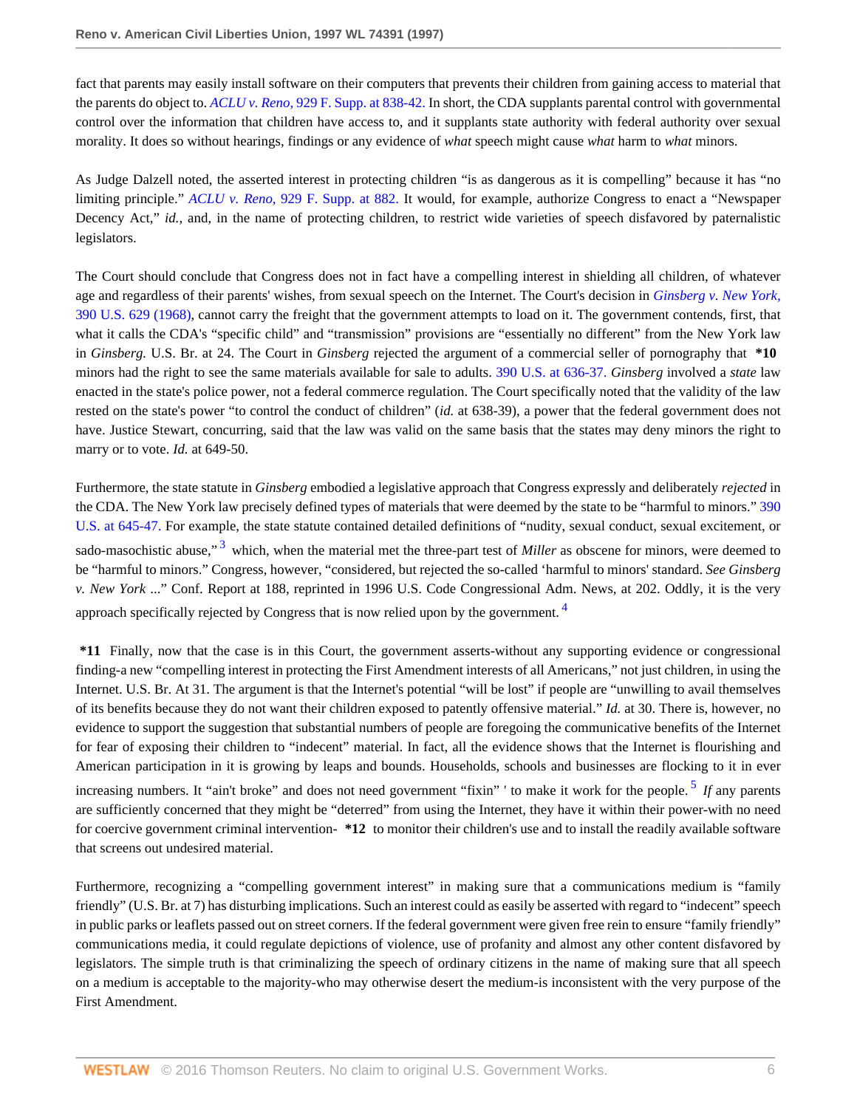fact that parents may easily install software on their computers that prevents their children from gaining access to material that the parents do object to. *ACLU v. Reno,* [929 F. Supp. at 838-42.](http://www.westlaw.com/Link/Document/FullText?findType=Y&serNum=1996133365&pubNum=345&originatingDoc=Iac6ea13847be11d98915dbcd77ee80bc&refType=RP&fi=co_pp_sp_345_838&originationContext=document&vr=3.0&rs=cblt1.0&transitionType=DocumentItem&contextData=(sc.Search)#co_pp_sp_345_838) In short, the CDA supplants parental control with governmental control over the information that children have access to, and it supplants state authority with federal authority over sexual morality. It does so without hearings, findings or any evidence of *what* speech might cause *what* harm to *what* minors.

As Judge Dalzell noted, the asserted interest in protecting children "is as dangerous as it is compelling" because it has "no limiting principle." *ACLU v. Reno,* [929 F. Supp. at 882.](http://www.westlaw.com/Link/Document/FullText?findType=Y&serNum=1996133365&pubNum=345&originatingDoc=Iac6ea13847be11d98915dbcd77ee80bc&refType=RP&fi=co_pp_sp_345_882&originationContext=document&vr=3.0&rs=cblt1.0&transitionType=DocumentItem&contextData=(sc.Search)#co_pp_sp_345_882) It would, for example, authorize Congress to enact a "Newspaper Decency Act," *id.,* and, in the name of protecting children, to restrict wide varieties of speech disfavored by paternalistic legislators.

The Court should conclude that Congress does not in fact have a compelling interest in shielding all children, of whatever age and regardless of their parents' wishes, from sexual speech on the Internet. The Court's decision in *[Ginsberg v. New York,](http://www.westlaw.com/Link/Document/FullText?findType=Y&serNum=1968131167&pubNum=780&originatingDoc=Iac6ea13847be11d98915dbcd77ee80bc&refType=RP&originationContext=document&vr=3.0&rs=cblt1.0&transitionType=DocumentItem&contextData=(sc.Search))* [390 U.S. 629 \(1968\),](http://www.westlaw.com/Link/Document/FullText?findType=Y&serNum=1968131167&pubNum=780&originatingDoc=Iac6ea13847be11d98915dbcd77ee80bc&refType=RP&originationContext=document&vr=3.0&rs=cblt1.0&transitionType=DocumentItem&contextData=(sc.Search)) cannot carry the freight that the government attempts to load on it. The government contends, first, that what it calls the CDA's "specific child" and "transmission" provisions are "essentially no different" from the New York law in *Ginsberg.* U.S. Br. at 24. The Court in *Ginsberg* rejected the argument of a commercial seller of pornography that **\*10** minors had the right to see the same materials available for sale to adults. [390 U.S. at 636-37.](http://www.westlaw.com/Link/Document/FullText?findType=Y&serNum=1968131167&pubNum=780&originatingDoc=Iac6ea13847be11d98915dbcd77ee80bc&refType=RP&fi=co_pp_sp_780_636&originationContext=document&vr=3.0&rs=cblt1.0&transitionType=DocumentItem&contextData=(sc.Search)#co_pp_sp_780_636) *Ginsberg* involved a *state* law enacted in the state's police power, not a federal commerce regulation. The Court specifically noted that the validity of the law rested on the state's power "to control the conduct of children" (*id.* at 638-39), a power that the federal government does not have. Justice Stewart, concurring, said that the law was valid on the same basis that the states may deny minors the right to marry or to vote. *Id.* at 649-50.

<span id="page-5-0"></span>Furthermore, the state statute in *Ginsberg* embodied a legislative approach that Congress expressly and deliberately *rejected* in the CDA. The New York law precisely defined types of materials that were deemed by the state to be "harmful to minors." [390](http://www.westlaw.com/Link/Document/FullText?findType=Y&serNum=1968131167&pubNum=780&originatingDoc=Iac6ea13847be11d98915dbcd77ee80bc&refType=RP&fi=co_pp_sp_780_645&originationContext=document&vr=3.0&rs=cblt1.0&transitionType=DocumentItem&contextData=(sc.Search)#co_pp_sp_780_645) [U.S. at 645-47.](http://www.westlaw.com/Link/Document/FullText?findType=Y&serNum=1968131167&pubNum=780&originatingDoc=Iac6ea13847be11d98915dbcd77ee80bc&refType=RP&fi=co_pp_sp_780_645&originationContext=document&vr=3.0&rs=cblt1.0&transitionType=DocumentItem&contextData=(sc.Search)#co_pp_sp_780_645) For example, the state statute contained detailed definitions of "nudity, sexual conduct, sexual excitement, or sado-masochistic abuse,"<sup>[3](#page-12-2)</sup> which, when the material met the three-part test of *Miller* as obscene for minors, were deemed to be "harmful to minors." Congress, however, "considered, but rejected the so-called 'harmful to minors' standard. *See Ginsberg v. New York* ..." Conf. Report at 188, reprinted in 1996 U.S. Code Congressional Adm. News, at 202. Oddly, it is the very approach specifically rejected by Congress that is now relied upon by the government.<sup>[4](#page-12-3)</sup>

<span id="page-5-1"></span>**\*11** Finally, now that the case is in this Court, the government asserts-without any supporting evidence or congressional finding-a new "compelling interest in protecting the First Amendment interests of all Americans," not just children, in using the Internet. U.S. Br. At 31. The argument is that the Internet's potential "will be lost" if people are "unwilling to avail themselves of its benefits because they do not want their children exposed to patently offensive material." *Id.* at 30. There is, however, no evidence to support the suggestion that substantial numbers of people are foregoing the communicative benefits of the Internet for fear of exposing their children to "indecent" material. In fact, all the evidence shows that the Internet is flourishing and American participation in it is growing by leaps and bounds. Households, schools and businesses are flocking to it in ever increasing numbers. It "ain't broke" and does not need government "fixin" ' to make it work for the people. [5](#page-12-4) *If* any parents are sufficiently concerned that they might be "deterred" from using the Internet, they have it within their power-with no need for coercive government criminal intervention- **\*12** to monitor their children's use and to install the readily available software that screens out undesired material.

<span id="page-5-2"></span>Furthermore, recognizing a "compelling government interest" in making sure that a communications medium is "family friendly" (U.S. Br. at 7) has disturbing implications. Such an interest could as easily be asserted with regard to "indecent" speech in public parks or leaflets passed out on street corners. If the federal government were given free rein to ensure "family friendly" communications media, it could regulate depictions of violence, use of profanity and almost any other content disfavored by legislators. The simple truth is that criminalizing the speech of ordinary citizens in the name of making sure that all speech on a medium is acceptable to the majority-who may otherwise desert the medium-is inconsistent with the very purpose of the First Amendment.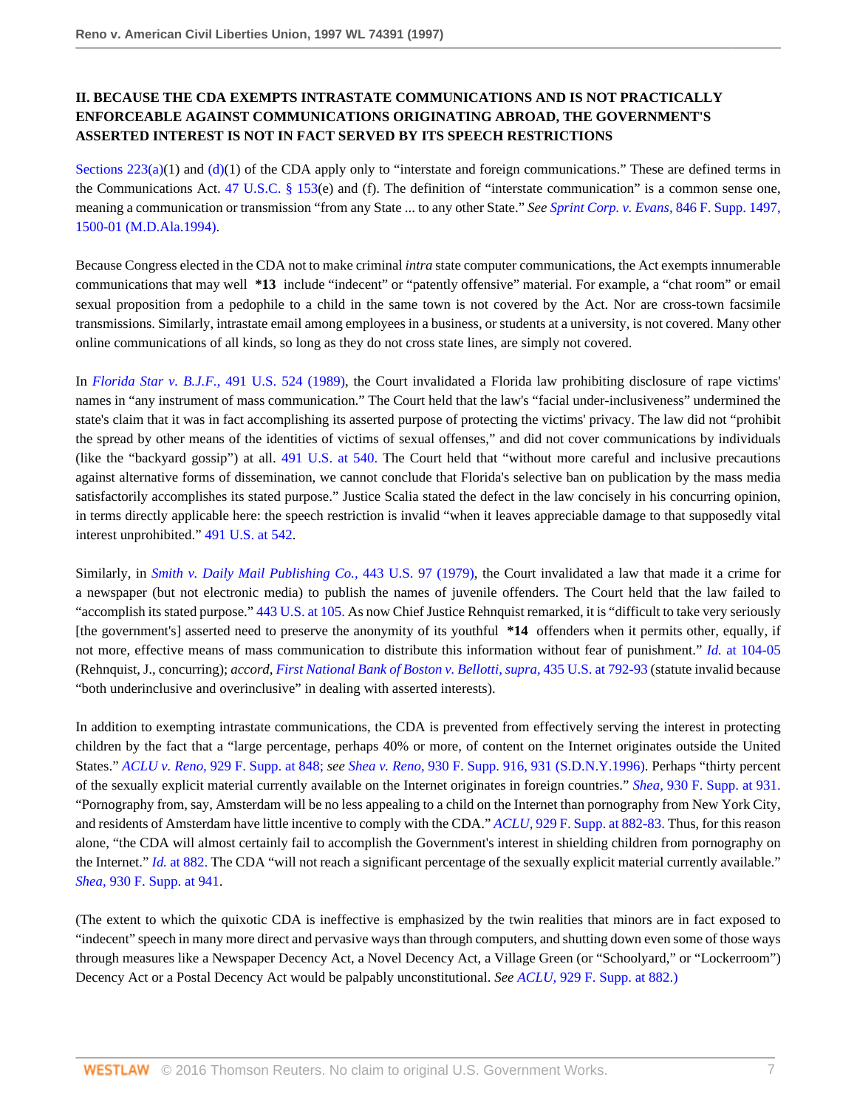## **II. BECAUSE THE CDA EXEMPTS INTRASTATE COMMUNICATIONS AND IS NOT PRACTICALLY ENFORCEABLE AGAINST COMMUNICATIONS ORIGINATING ABROAD, THE GOVERNMENT'S ASSERTED INTEREST IS NOT IN FACT SERVED BY ITS SPEECH RESTRICTIONS**

Sections  $223(a)(1)$  and  $(d)(1)$  $(d)(1)$  of the CDA apply only to "interstate and foreign communications." These are defined terms in the Communications Act. [47 U.S.C. § 153](http://www.westlaw.com/Link/Document/FullText?findType=L&pubNum=1000546&cite=47USCAS153&originatingDoc=Iac6ea13847be11d98915dbcd77ee80bc&refType=LQ&originationContext=document&vr=3.0&rs=cblt1.0&transitionType=DocumentItem&contextData=(sc.Search))(e) and (f). The definition of "interstate communication" is a common sense one, meaning a communication or transmission "from any State ... to any other State." *See [Sprint Corp. v. Evans,](http://www.westlaw.com/Link/Document/FullText?findType=Y&serNum=1994069509&pubNum=345&originatingDoc=Iac6ea13847be11d98915dbcd77ee80bc&refType=RP&fi=co_pp_sp_345_1500&originationContext=document&vr=3.0&rs=cblt1.0&transitionType=DocumentItem&contextData=(sc.Search)#co_pp_sp_345_1500)* 846 F. Supp. 1497, [1500-01 \(M.D.Ala.1994\).](http://www.westlaw.com/Link/Document/FullText?findType=Y&serNum=1994069509&pubNum=345&originatingDoc=Iac6ea13847be11d98915dbcd77ee80bc&refType=RP&fi=co_pp_sp_345_1500&originationContext=document&vr=3.0&rs=cblt1.0&transitionType=DocumentItem&contextData=(sc.Search)#co_pp_sp_345_1500)

Because Congress elected in the CDA not to make criminal *intra* state computer communications, the Act exempts innumerable communications that may well **\*13** include "indecent" or "patently offensive" material. For example, a "chat room" or email sexual proposition from a pedophile to a child in the same town is not covered by the Act. Nor are cross-town facsimile transmissions. Similarly, intrastate email among employees in a business, or students at a university, is not covered. Many other online communications of all kinds, so long as they do not cross state lines, are simply not covered.

In *[Florida Star v. B.J.F.,](http://www.westlaw.com/Link/Document/FullText?findType=Y&serNum=1989092402&pubNum=780&originatingDoc=Iac6ea13847be11d98915dbcd77ee80bc&refType=RP&originationContext=document&vr=3.0&rs=cblt1.0&transitionType=DocumentItem&contextData=(sc.Search))* 491 U.S. 524 (1989), the Court invalidated a Florida law prohibiting disclosure of rape victims' names in "any instrument of mass communication." The Court held that the law's "facial under-inclusiveness" undermined the state's claim that it was in fact accomplishing its asserted purpose of protecting the victims' privacy. The law did not "prohibit the spread by other means of the identities of victims of sexual offenses," and did not cover communications by individuals (like the "backyard gossip") at all. [491 U.S. at 540.](http://www.westlaw.com/Link/Document/FullText?findType=Y&serNum=1989092402&pubNum=780&originatingDoc=Iac6ea13847be11d98915dbcd77ee80bc&refType=RP&fi=co_pp_sp_780_540&originationContext=document&vr=3.0&rs=cblt1.0&transitionType=DocumentItem&contextData=(sc.Search)#co_pp_sp_780_540) The Court held that "without more careful and inclusive precautions against alternative forms of dissemination, we cannot conclude that Florida's selective ban on publication by the mass media satisfactorily accomplishes its stated purpose." Justice Scalia stated the defect in the law concisely in his concurring opinion, in terms directly applicable here: the speech restriction is invalid "when it leaves appreciable damage to that supposedly vital interest unprohibited." [491 U.S. at 542.](http://www.westlaw.com/Link/Document/FullText?findType=Y&serNum=1989092402&pubNum=780&originatingDoc=Iac6ea13847be11d98915dbcd77ee80bc&refType=RP&fi=co_pp_sp_780_542&originationContext=document&vr=3.0&rs=cblt1.0&transitionType=DocumentItem&contextData=(sc.Search)#co_pp_sp_780_542)

Similarly, in *[Smith v. Daily Mail Publishing Co.,](http://www.westlaw.com/Link/Document/FullText?findType=Y&serNum=1979135163&pubNum=780&originatingDoc=Iac6ea13847be11d98915dbcd77ee80bc&refType=RP&originationContext=document&vr=3.0&rs=cblt1.0&transitionType=DocumentItem&contextData=(sc.Search))* 443 U.S. 97 (1979), the Court invalidated a law that made it a crime for a newspaper (but not electronic media) to publish the names of juvenile offenders. The Court held that the law failed to "accomplish its stated purpose." [443 U.S. at 105.](http://www.westlaw.com/Link/Document/FullText?findType=Y&serNum=1979135163&pubNum=780&originatingDoc=Iac6ea13847be11d98915dbcd77ee80bc&refType=RP&fi=co_pp_sp_780_105&originationContext=document&vr=3.0&rs=cblt1.0&transitionType=DocumentItem&contextData=(sc.Search)#co_pp_sp_780_105) As now Chief Justice Rehnquist remarked, it is "difficult to take very seriously [the government's] asserted need to preserve the anonymity of its youthful **\*14** offenders when it permits other, equally, if not more, effective means of mass communication to distribute this information without fear of punishment." *Id.* [at 104-05](http://www.westlaw.com/Link/Document/FullText?findType=Y&serNum=1979135163&originatingDoc=Iac6ea13847be11d98915dbcd77ee80bc&refType=RP&originationContext=document&vr=3.0&rs=cblt1.0&transitionType=DocumentItem&contextData=(sc.Search)) (Rehnquist, J., concurring); *accord, [First National Bank of Boston v. Bellotti, supra,](http://www.westlaw.com/Link/Document/FullText?findType=Y&serNum=1978114223&pubNum=780&originatingDoc=Iac6ea13847be11d98915dbcd77ee80bc&refType=RP&fi=co_pp_sp_780_792&originationContext=document&vr=3.0&rs=cblt1.0&transitionType=DocumentItem&contextData=(sc.Search)#co_pp_sp_780_792)* 435 U.S. at 792-93 (statute invalid because "both underinclusive and overinclusive" in dealing with asserted interests).

In addition to exempting intrastate communications, the CDA is prevented from effectively serving the interest in protecting children by the fact that a "large percentage, perhaps 40% or more, of content on the Internet originates outside the United States." *ACLU v. Reno,* [929 F. Supp. at 848;](http://www.westlaw.com/Link/Document/FullText?findType=Y&serNum=1996133365&pubNum=345&originatingDoc=Iac6ea13847be11d98915dbcd77ee80bc&refType=RP&fi=co_pp_sp_345_848&originationContext=document&vr=3.0&rs=cblt1.0&transitionType=DocumentItem&contextData=(sc.Search)#co_pp_sp_345_848) *see Shea v. Reno,* [930 F. Supp. 916, 931 \(S.D.N.Y.1996\).](http://www.westlaw.com/Link/Document/FullText?findType=Y&serNum=1996170565&pubNum=345&originatingDoc=Iac6ea13847be11d98915dbcd77ee80bc&refType=RP&fi=co_pp_sp_345_931&originationContext=document&vr=3.0&rs=cblt1.0&transitionType=DocumentItem&contextData=(sc.Search)#co_pp_sp_345_931) Perhaps "thirty percent of the sexually explicit material currently available on the Internet originates in foreign countries." *Shea,* [930 F. Supp. at 931.](http://www.westlaw.com/Link/Document/FullText?findType=Y&serNum=1996170565&pubNum=345&originatingDoc=Iac6ea13847be11d98915dbcd77ee80bc&refType=RP&fi=co_pp_sp_345_931&originationContext=document&vr=3.0&rs=cblt1.0&transitionType=DocumentItem&contextData=(sc.Search)#co_pp_sp_345_931) "Pornography from, say, Amsterdam will be no less appealing to a child on the Internet than pornography from New York City, and residents of Amsterdam have little incentive to comply with the CDA." *ACLU,* [929 F. Supp. at 882-83.](http://www.westlaw.com/Link/Document/FullText?findType=Y&serNum=1996133365&pubNum=345&originatingDoc=Iac6ea13847be11d98915dbcd77ee80bc&refType=RP&fi=co_pp_sp_345_882&originationContext=document&vr=3.0&rs=cblt1.0&transitionType=DocumentItem&contextData=(sc.Search)#co_pp_sp_345_882) Thus, for this reason alone, "the CDA will almost certainly fail to accomplish the Government's interest in shielding children from pornography on the Internet." *Id.* [at 882.](http://www.westlaw.com/Link/Document/FullText?findType=Y&serNum=1996133365&originatingDoc=Iac6ea13847be11d98915dbcd77ee80bc&refType=RP&originationContext=document&vr=3.0&rs=cblt1.0&transitionType=DocumentItem&contextData=(sc.Search)) The CDA "will not reach a significant percentage of the sexually explicit material currently available." *Shea,* [930 F. Supp. at 941.](http://www.westlaw.com/Link/Document/FullText?findType=Y&serNum=1996170565&pubNum=345&originatingDoc=Iac6ea13847be11d98915dbcd77ee80bc&refType=RP&fi=co_pp_sp_345_941&originationContext=document&vr=3.0&rs=cblt1.0&transitionType=DocumentItem&contextData=(sc.Search)#co_pp_sp_345_941)

(The extent to which the quixotic CDA is ineffective is emphasized by the twin realities that minors are in fact exposed to "indecent" speech in many more direct and pervasive ways than through computers, and shutting down even some of those ways through measures like a Newspaper Decency Act, a Novel Decency Act, a Village Green (or "Schoolyard," or "Lockerroom") Decency Act or a Postal Decency Act would be palpably unconstitutional. *See ACLU,* [929 F. Supp. at 882.\)](http://www.westlaw.com/Link/Document/FullText?findType=Y&serNum=1996133365&pubNum=345&originatingDoc=Iac6ea13847be11d98915dbcd77ee80bc&refType=RP&fi=co_pp_sp_345_882&originationContext=document&vr=3.0&rs=cblt1.0&transitionType=DocumentItem&contextData=(sc.Search)#co_pp_sp_345_882)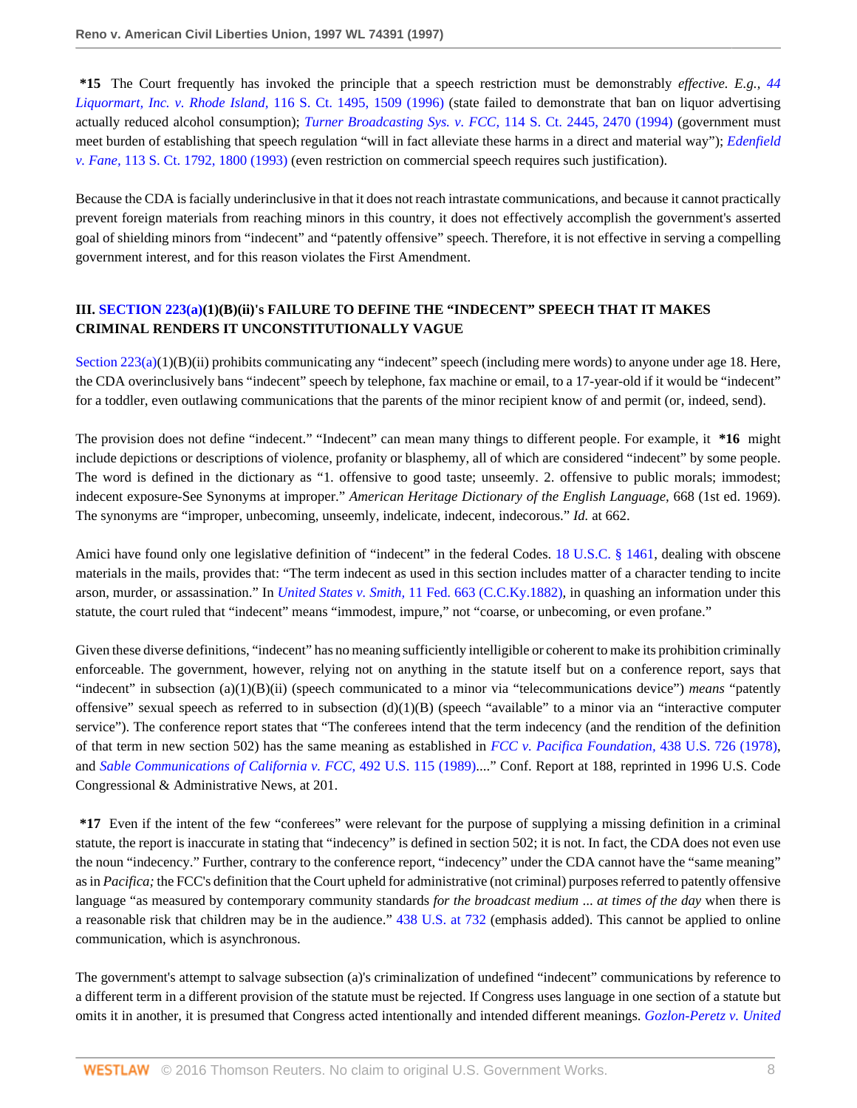**\*15** The Court frequently has invoked the principle that a speech restriction must be demonstrably *effective. E.g., [44](http://www.westlaw.com/Link/Document/FullText?findType=Y&serNum=1996113149&pubNum=708&originatingDoc=Iac6ea13847be11d98915dbcd77ee80bc&refType=RP&fi=co_pp_sp_708_1509&originationContext=document&vr=3.0&rs=cblt1.0&transitionType=DocumentItem&contextData=(sc.Search)#co_pp_sp_708_1509) [Liquormart, Inc. v. Rhode Island,](http://www.westlaw.com/Link/Document/FullText?findType=Y&serNum=1996113149&pubNum=708&originatingDoc=Iac6ea13847be11d98915dbcd77ee80bc&refType=RP&fi=co_pp_sp_708_1509&originationContext=document&vr=3.0&rs=cblt1.0&transitionType=DocumentItem&contextData=(sc.Search)#co_pp_sp_708_1509)* 116 S. Ct. 1495, 1509 (1996) (state failed to demonstrate that ban on liquor advertising actually reduced alcohol consumption); *[Turner Broadcasting Sys. v. FCC,](http://www.westlaw.com/Link/Document/FullText?findType=Y&serNum=1994136435&pubNum=708&originatingDoc=Iac6ea13847be11d98915dbcd77ee80bc&refType=RP&fi=co_pp_sp_708_2470&originationContext=document&vr=3.0&rs=cblt1.0&transitionType=DocumentItem&contextData=(sc.Search)#co_pp_sp_708_2470)* 114 S. Ct. 2445, 2470 (1994) (government must meet burden of establishing that speech regulation "will in fact alleviate these harms in a direct and material way"); *[Edenfield](http://www.westlaw.com/Link/Document/FullText?findType=Y&serNum=1993091488&pubNum=708&originatingDoc=Iac6ea13847be11d98915dbcd77ee80bc&refType=RP&fi=co_pp_sp_708_1800&originationContext=document&vr=3.0&rs=cblt1.0&transitionType=DocumentItem&contextData=(sc.Search)#co_pp_sp_708_1800) v. Fane,* [113 S. Ct. 1792, 1800 \(1993\)](http://www.westlaw.com/Link/Document/FullText?findType=Y&serNum=1993091488&pubNum=708&originatingDoc=Iac6ea13847be11d98915dbcd77ee80bc&refType=RP&fi=co_pp_sp_708_1800&originationContext=document&vr=3.0&rs=cblt1.0&transitionType=DocumentItem&contextData=(sc.Search)#co_pp_sp_708_1800) (even restriction on commercial speech requires such justification).

Because the CDA is facially underinclusive in that it does not reach intrastate communications, and because it cannot practically prevent foreign materials from reaching minors in this country, it does not effectively accomplish the government's asserted goal of shielding minors from "indecent" and "patently offensive" speech. Therefore, it is not effective in serving a compelling government interest, and for this reason violates the First Amendment.

## **III. [SECTION 223\(a\)\(](http://www.westlaw.com/Link/Document/FullText?findType=L&pubNum=1000546&cite=47USCAS223&originatingDoc=Iac6ea13847be11d98915dbcd77ee80bc&refType=RB&originationContext=document&vr=3.0&rs=cblt1.0&transitionType=DocumentItem&contextData=(sc.Search)#co_pp_8b3b0000958a4)1)(B)(ii)'s FAILURE TO DEFINE THE "INDECENT" SPEECH THAT IT MAKES CRIMINAL RENDERS IT UNCONSTITUTIONALLY VAGUE**

Section  $223(a)(1)(B)(ii)$  prohibits communicating any "indecent" speech (including mere words) to anyone under age 18. Here, the CDA overinclusively bans "indecent" speech by telephone, fax machine or email, to a 17-year-old if it would be "indecent" for a toddler, even outlawing communications that the parents of the minor recipient know of and permit (or, indeed, send).

The provision does not define "indecent." "Indecent" can mean many things to different people. For example, it **\*16** might include depictions or descriptions of violence, profanity or blasphemy, all of which are considered "indecent" by some people. The word is defined in the dictionary as "1. offensive to good taste; unseemly. 2. offensive to public morals; immodest; indecent exposure-See Synonyms at improper." *American Heritage Dictionary of the English Language,* 668 (1st ed. 1969). The synonyms are "improper, unbecoming, unseemly, indelicate, indecent, indecorous." *Id.* at 662.

Amici have found only one legislative definition of "indecent" in the federal Codes. [18 U.S.C. § 1461](http://www.westlaw.com/Link/Document/FullText?findType=L&pubNum=1000546&cite=18USCAS1461&originatingDoc=Iac6ea13847be11d98915dbcd77ee80bc&refType=LQ&originationContext=document&vr=3.0&rs=cblt1.0&transitionType=DocumentItem&contextData=(sc.Search)), dealing with obscene materials in the mails, provides that: "The term indecent as used in this section includes matter of a character tending to incite arson, murder, or assassination." In *United States v. Smith,* [11 Fed. 663 \(C.C.Ky.1882\)](http://www.westlaw.com/Link/Document/FullText?findType=Y&serNum=1882156855&pubNum=348&originatingDoc=Iac6ea13847be11d98915dbcd77ee80bc&refType=RP&originationContext=document&vr=3.0&rs=cblt1.0&transitionType=DocumentItem&contextData=(sc.Search)), in quashing an information under this statute, the court ruled that "indecent" means "immodest, impure," not "coarse, or unbecoming, or even profane."

Given these diverse definitions, "indecent" has no meaning sufficiently intelligible or coherent to make its prohibition criminally enforceable. The government, however, relying not on anything in the statute itself but on a conference report, says that "indecent" in subsection (a)(1)(B)(ii) (speech communicated to a minor via "telecommunications device") *means* "patently offensive" sexual speech as referred to in subsection  $(d)(1)(B)$  (speech "available" to a minor via an "interactive computer service"). The conference report states that "The conferees intend that the term indecency (and the rendition of the definition of that term in new section 502) has the same meaning as established in *[FCC v. Pacifica Foundation,](http://www.westlaw.com/Link/Document/FullText?findType=Y&serNum=1978139517&pubNum=780&originatingDoc=Iac6ea13847be11d98915dbcd77ee80bc&refType=RP&originationContext=document&vr=3.0&rs=cblt1.0&transitionType=DocumentItem&contextData=(sc.Search))* 438 U.S. 726 (1978), and *[Sable Communications of California v. FCC,](http://www.westlaw.com/Link/Document/FullText?findType=Y&serNum=1989094018&pubNum=780&originatingDoc=Iac6ea13847be11d98915dbcd77ee80bc&refType=RP&originationContext=document&vr=3.0&rs=cblt1.0&transitionType=DocumentItem&contextData=(sc.Search))* 492 U.S. 115 (1989)...." Conf. Report at 188, reprinted in 1996 U.S. Code Congressional & Administrative News, at 201.

**\*17** Even if the intent of the few "conferees" were relevant for the purpose of supplying a missing definition in a criminal statute, the report is inaccurate in stating that "indecency" is defined in section 502; it is not. In fact, the CDA does not even use the noun "indecency." Further, contrary to the conference report, "indecency" under the CDA cannot have the "same meaning" as in *Pacifica;* the FCC's definition that the Court upheld for administrative (not criminal) purposes referred to patently offensive language "as measured by contemporary community standards *for the broadcast medium* ... *at times of the day* when there is a reasonable risk that children may be in the audience." [438 U.S. at 732](http://www.westlaw.com/Link/Document/FullText?findType=Y&serNum=1978139517&pubNum=780&originatingDoc=Iac6ea13847be11d98915dbcd77ee80bc&refType=RP&fi=co_pp_sp_780_732&originationContext=document&vr=3.0&rs=cblt1.0&transitionType=DocumentItem&contextData=(sc.Search)#co_pp_sp_780_732) (emphasis added). This cannot be applied to online communication, which is asynchronous.

The government's attempt to salvage subsection (a)'s criminalization of undefined "indecent" communications by reference to a different term in a different provision of the statute must be rejected. If Congress uses language in one section of a statute but omits it in another, it is presumed that Congress acted intentionally and intended different meanings. *[Gozlon-Peretz v. United](http://www.westlaw.com/Link/Document/FullText?findType=Y&serNum=1991039855&pubNum=780&originatingDoc=Iac6ea13847be11d98915dbcd77ee80bc&refType=RP&fi=co_pp_sp_780_404&originationContext=document&vr=3.0&rs=cblt1.0&transitionType=DocumentItem&contextData=(sc.Search)#co_pp_sp_780_404)*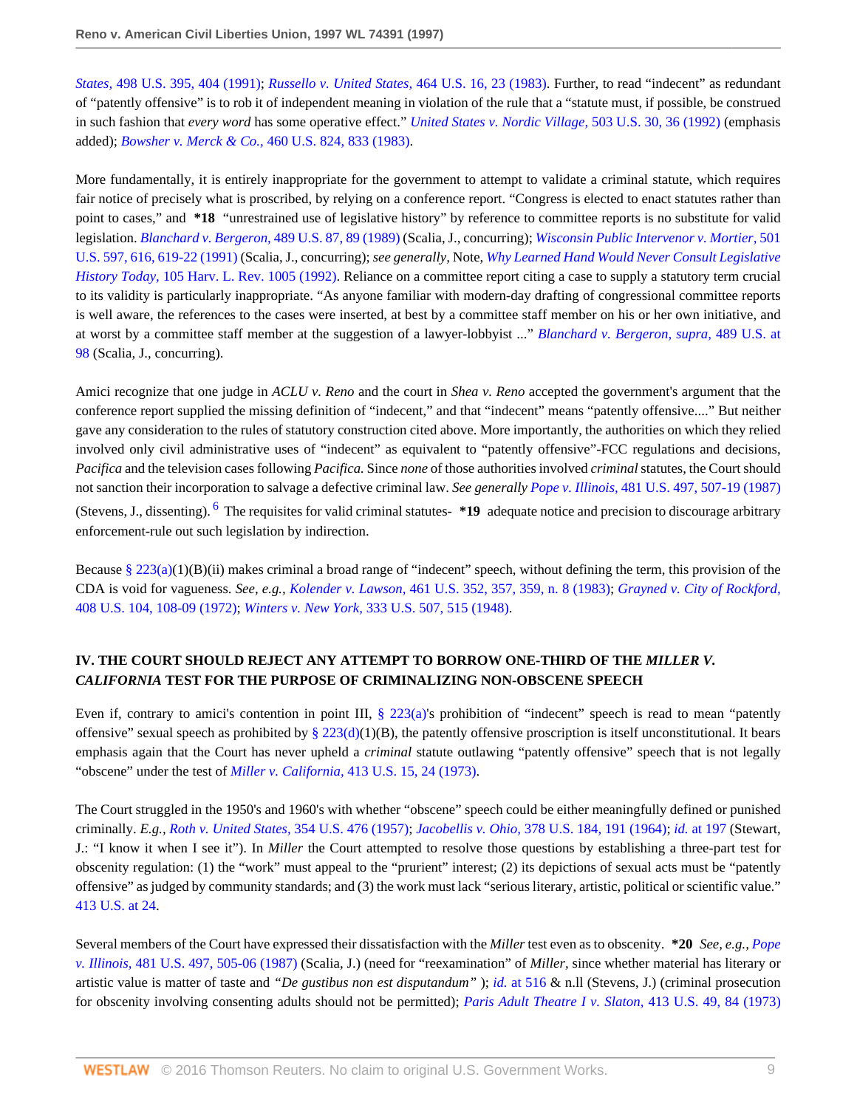*States,* [498 U.S. 395, 404 \(1991\)](http://www.westlaw.com/Link/Document/FullText?findType=Y&serNum=1991039855&pubNum=780&originatingDoc=Iac6ea13847be11d98915dbcd77ee80bc&refType=RP&fi=co_pp_sp_780_404&originationContext=document&vr=3.0&rs=cblt1.0&transitionType=DocumentItem&contextData=(sc.Search)#co_pp_sp_780_404); *[Russello v. United States,](http://www.westlaw.com/Link/Document/FullText?findType=Y&serNum=1983149303&pubNum=780&originatingDoc=Iac6ea13847be11d98915dbcd77ee80bc&refType=RP&fi=co_pp_sp_780_23&originationContext=document&vr=3.0&rs=cblt1.0&transitionType=DocumentItem&contextData=(sc.Search)#co_pp_sp_780_23)* 464 U.S. 16, 23 (1983). Further, to read "indecent" as redundant of "patently offensive" is to rob it of independent meaning in violation of the rule that a "statute must, if possible, be construed in such fashion that *every word* has some operative effect." *[United States v. Nordic Village,](http://www.westlaw.com/Link/Document/FullText?findType=Y&serNum=1992046036&pubNum=780&originatingDoc=Iac6ea13847be11d98915dbcd77ee80bc&refType=RP&fi=co_pp_sp_780_36&originationContext=document&vr=3.0&rs=cblt1.0&transitionType=DocumentItem&contextData=(sc.Search)#co_pp_sp_780_36)* 503 U.S. 30, 36 (1992) (emphasis added); *Bowsher v. Merck & Co.,* [460 U.S. 824, 833 \(1983\).](http://www.westlaw.com/Link/Document/FullText?findType=Y&serNum=1983118155&pubNum=780&originatingDoc=Iac6ea13847be11d98915dbcd77ee80bc&refType=RP&fi=co_pp_sp_780_833&originationContext=document&vr=3.0&rs=cblt1.0&transitionType=DocumentItem&contextData=(sc.Search)#co_pp_sp_780_833)

More fundamentally, it is entirely inappropriate for the government to attempt to validate a criminal statute, which requires fair notice of precisely what is proscribed, by relying on a conference report. "Congress is elected to enact statutes rather than point to cases," and **\*18** "unrestrained use of legislative history" by reference to committee reports is no substitute for valid legislation. *[Blanchard v. Bergeron,](http://www.westlaw.com/Link/Document/FullText?findType=Y&serNum=1989026577&pubNum=780&originatingDoc=Iac6ea13847be11d98915dbcd77ee80bc&refType=RP&fi=co_pp_sp_780_89&originationContext=document&vr=3.0&rs=cblt1.0&transitionType=DocumentItem&contextData=(sc.Search)#co_pp_sp_780_89)* 489 U.S. 87, 89 (1989) (Scalia, J., concurring); *[Wisconsin Public Intervenor v. Mortier,](http://www.westlaw.com/Link/Document/FullText?findType=Y&serNum=1991113028&pubNum=780&originatingDoc=Iac6ea13847be11d98915dbcd77ee80bc&refType=RP&fi=co_pp_sp_780_616&originationContext=document&vr=3.0&rs=cblt1.0&transitionType=DocumentItem&contextData=(sc.Search)#co_pp_sp_780_616)* 501 [U.S. 597, 616, 619-22 \(1991\)](http://www.westlaw.com/Link/Document/FullText?findType=Y&serNum=1991113028&pubNum=780&originatingDoc=Iac6ea13847be11d98915dbcd77ee80bc&refType=RP&fi=co_pp_sp_780_616&originationContext=document&vr=3.0&rs=cblt1.0&transitionType=DocumentItem&contextData=(sc.Search)#co_pp_sp_780_616) (Scalia, J., concurring); *see generally,* Note, *[Why Learned Hand Would Never Consult Legislative](http://www.westlaw.com/Link/Document/FullText?findType=Y&serNum=0101299129&pubNum=3084&originatingDoc=Iac6ea13847be11d98915dbcd77ee80bc&refType=LR&originationContext=document&vr=3.0&rs=cblt1.0&transitionType=DocumentItem&contextData=(sc.Search)) History Today,* [105 Harv. L. Rev. 1005 \(1992\).](http://www.westlaw.com/Link/Document/FullText?findType=Y&serNum=0101299129&pubNum=3084&originatingDoc=Iac6ea13847be11d98915dbcd77ee80bc&refType=LR&originationContext=document&vr=3.0&rs=cblt1.0&transitionType=DocumentItem&contextData=(sc.Search)) Reliance on a committee report citing a case to supply a statutory term crucial to its validity is particularly inappropriate. "As anyone familiar with modern-day drafting of congressional committee reports is well aware, the references to the cases were inserted, at best by a committee staff member on his or her own initiative, and at worst by a committee staff member at the suggestion of a lawyer-lobbyist ..." *[Blanchard v. Bergeron, supra,](http://www.westlaw.com/Link/Document/FullText?findType=Y&serNum=1989026577&pubNum=780&originatingDoc=Iac6ea13847be11d98915dbcd77ee80bc&refType=RP&fi=co_pp_sp_780_98&originationContext=document&vr=3.0&rs=cblt1.0&transitionType=DocumentItem&contextData=(sc.Search)#co_pp_sp_780_98)* 489 U.S. at [98](http://www.westlaw.com/Link/Document/FullText?findType=Y&serNum=1989026577&pubNum=780&originatingDoc=Iac6ea13847be11d98915dbcd77ee80bc&refType=RP&fi=co_pp_sp_780_98&originationContext=document&vr=3.0&rs=cblt1.0&transitionType=DocumentItem&contextData=(sc.Search)#co_pp_sp_780_98) (Scalia, J., concurring).

Amici recognize that one judge in *ACLU v. Reno* and the court in *Shea v. Reno* accepted the government's argument that the conference report supplied the missing definition of "indecent," and that "indecent" means "patently offensive...." But neither gave any consideration to the rules of statutory construction cited above. More importantly, the authorities on which they relied involved only civil administrative uses of "indecent" as equivalent to "patently offensive"-FCC regulations and decisions, *Pacifica* and the television cases following *Pacifica.* Since *none* of those authorities involved *criminal* statutes, the Court should not sanction their incorporation to salvage a defective criminal law. *See generally Pope v. Illinois,* [481 U.S. 497, 507-19 \(1987\)](http://www.westlaw.com/Link/Document/FullText?findType=Y&serNum=1987056008&pubNum=780&originatingDoc=Iac6ea13847be11d98915dbcd77ee80bc&refType=RP&fi=co_pp_sp_780_507&originationContext=document&vr=3.0&rs=cblt1.0&transitionType=DocumentItem&contextData=(sc.Search)#co_pp_sp_780_507)

<span id="page-8-0"></span>(Stevens, J., dissenting). [6](#page-12-5) The requisites for valid criminal statutes- **\*19** adequate notice and precision to discourage arbitrary enforcement-rule out such legislation by indirection.

Because [§ 223\(a\)](http://www.westlaw.com/Link/Document/FullText?findType=L&pubNum=1000546&cite=47USCAS223&originatingDoc=Iac6ea13847be11d98915dbcd77ee80bc&refType=RB&originationContext=document&vr=3.0&rs=cblt1.0&transitionType=DocumentItem&contextData=(sc.Search)#co_pp_8b3b0000958a4)(1)(B)(ii) makes criminal a broad range of "indecent" speech, without defining the term, this provision of the CDA is void for vagueness. *See, e.g., Kolender v. Lawson,* [461 U.S. 352, 357, 359, n. 8 \(1983\)](http://www.westlaw.com/Link/Document/FullText?findType=Y&serNum=1983120391&pubNum=780&originatingDoc=Iac6ea13847be11d98915dbcd77ee80bc&refType=RP&fi=co_pp_sp_780_357&originationContext=document&vr=3.0&rs=cblt1.0&transitionType=DocumentItem&contextData=(sc.Search)#co_pp_sp_780_357); *[Grayned v. City of Rockford,](http://www.westlaw.com/Link/Document/FullText?findType=Y&serNum=1972127175&pubNum=780&originatingDoc=Iac6ea13847be11d98915dbcd77ee80bc&refType=RP&fi=co_pp_sp_780_108&originationContext=document&vr=3.0&rs=cblt1.0&transitionType=DocumentItem&contextData=(sc.Search)#co_pp_sp_780_108)* [408 U.S. 104, 108-09 \(1972\)](http://www.westlaw.com/Link/Document/FullText?findType=Y&serNum=1972127175&pubNum=780&originatingDoc=Iac6ea13847be11d98915dbcd77ee80bc&refType=RP&fi=co_pp_sp_780_108&originationContext=document&vr=3.0&rs=cblt1.0&transitionType=DocumentItem&contextData=(sc.Search)#co_pp_sp_780_108); *Winters v. New York,* [333 U.S. 507, 515 \(1948\).](http://www.westlaw.com/Link/Document/FullText?findType=Y&serNum=1948119287&pubNum=780&originatingDoc=Iac6ea13847be11d98915dbcd77ee80bc&refType=RP&fi=co_pp_sp_780_515&originationContext=document&vr=3.0&rs=cblt1.0&transitionType=DocumentItem&contextData=(sc.Search)#co_pp_sp_780_515)

# **IV. THE COURT SHOULD REJECT ANY ATTEMPT TO BORROW ONE-THIRD OF THE** *MILLER V. CALIFORNIA* **TEST FOR THE PURPOSE OF CRIMINALIZING NON-OBSCENE SPEECH**

Even if, contrary to amici's contention in point III,  $\S$  223(a)'s prohibition of "indecent" speech is read to mean "patently offensive" sexual speech as prohibited by [§ 223\(d\)](http://www.westlaw.com/Link/Document/FullText?findType=L&pubNum=1000546&cite=47USCAS223&originatingDoc=Iac6ea13847be11d98915dbcd77ee80bc&refType=RB&originationContext=document&vr=3.0&rs=cblt1.0&transitionType=DocumentItem&contextData=(sc.Search)#co_pp_5ba1000067d06)(1)(B), the patently offensive proscription is itself unconstitutional. It bears emphasis again that the Court has never upheld a *criminal* statute outlawing "patently offensive" speech that is not legally "obscene" under the test of *Miller v. California,* [413 U.S. 15, 24 \(1973\)](http://www.westlaw.com/Link/Document/FullText?findType=Y&serNum=1973126439&pubNum=780&originatingDoc=Iac6ea13847be11d98915dbcd77ee80bc&refType=RP&fi=co_pp_sp_780_24&originationContext=document&vr=3.0&rs=cblt1.0&transitionType=DocumentItem&contextData=(sc.Search)#co_pp_sp_780_24).

The Court struggled in the 1950's and 1960's with whether "obscene" speech could be either meaningfully defined or punished criminally. *E.g., [Roth v. United States,](http://www.westlaw.com/Link/Document/FullText?findType=Y&serNum=1957120394&pubNum=780&originatingDoc=Iac6ea13847be11d98915dbcd77ee80bc&refType=RP&originationContext=document&vr=3.0&rs=cblt1.0&transitionType=DocumentItem&contextData=(sc.Search))* 354 U.S. 476 (1957); *Jacobellis v. Ohio,* [378 U.S. 184, 191 \(1964\);](http://www.westlaw.com/Link/Document/FullText?findType=Y&serNum=1964124860&pubNum=780&originatingDoc=Iac6ea13847be11d98915dbcd77ee80bc&refType=RP&fi=co_pp_sp_780_191&originationContext=document&vr=3.0&rs=cblt1.0&transitionType=DocumentItem&contextData=(sc.Search)#co_pp_sp_780_191) *id.* [at 197](http://www.westlaw.com/Link/Document/FullText?findType=Y&serNum=1964124860&originatingDoc=Iac6ea13847be11d98915dbcd77ee80bc&refType=RP&originationContext=document&vr=3.0&rs=cblt1.0&transitionType=DocumentItem&contextData=(sc.Search)) (Stewart, J.: "I know it when I see it"). In *Miller* the Court attempted to resolve those questions by establishing a three-part test for obscenity regulation: (1) the "work" must appeal to the "prurient" interest; (2) its depictions of sexual acts must be "patently offensive" as judged by community standards; and (3) the work must lack "serious literary, artistic, political or scientific value." [413 U.S. at 24.](http://www.westlaw.com/Link/Document/FullText?findType=Y&serNum=1973126439&pubNum=780&originatingDoc=Iac6ea13847be11d98915dbcd77ee80bc&refType=RP&fi=co_pp_sp_780_24&originationContext=document&vr=3.0&rs=cblt1.0&transitionType=DocumentItem&contextData=(sc.Search)#co_pp_sp_780_24)

Several members of the Court have expressed their dissatisfaction with the *Miller* test even as to obscenity. **\*20** *See, e.g., [Pope](http://www.westlaw.com/Link/Document/FullText?findType=Y&serNum=1987056008&pubNum=780&originatingDoc=Iac6ea13847be11d98915dbcd77ee80bc&refType=RP&fi=co_pp_sp_780_505&originationContext=document&vr=3.0&rs=cblt1.0&transitionType=DocumentItem&contextData=(sc.Search)#co_pp_sp_780_505) v. Illinois,* [481 U.S. 497, 505-06 \(1987\)](http://www.westlaw.com/Link/Document/FullText?findType=Y&serNum=1987056008&pubNum=780&originatingDoc=Iac6ea13847be11d98915dbcd77ee80bc&refType=RP&fi=co_pp_sp_780_505&originationContext=document&vr=3.0&rs=cblt1.0&transitionType=DocumentItem&contextData=(sc.Search)#co_pp_sp_780_505) (Scalia, J.) (need for "reexamination" of *Miller,* since whether material has literary or artistic value is matter of taste and *"De gustibus non est disputandum"* ); *id.* [at 516](http://www.westlaw.com/Link/Document/FullText?findType=Y&serNum=1987056008&originatingDoc=Iac6ea13847be11d98915dbcd77ee80bc&refType=RP&originationContext=document&vr=3.0&rs=cblt1.0&transitionType=DocumentItem&contextData=(sc.Search)) & n.ll (Stevens, J.) (criminal prosecution for obscenity involving consenting adults should not be permitted); *[Paris Adult Theatre I v. Slaton,](http://www.westlaw.com/Link/Document/FullText?findType=Y&serNum=1973126440&pubNum=780&originatingDoc=Iac6ea13847be11d98915dbcd77ee80bc&refType=RP&fi=co_pp_sp_780_84&originationContext=document&vr=3.0&rs=cblt1.0&transitionType=DocumentItem&contextData=(sc.Search)#co_pp_sp_780_84)* 413 U.S. 49, 84 (1973)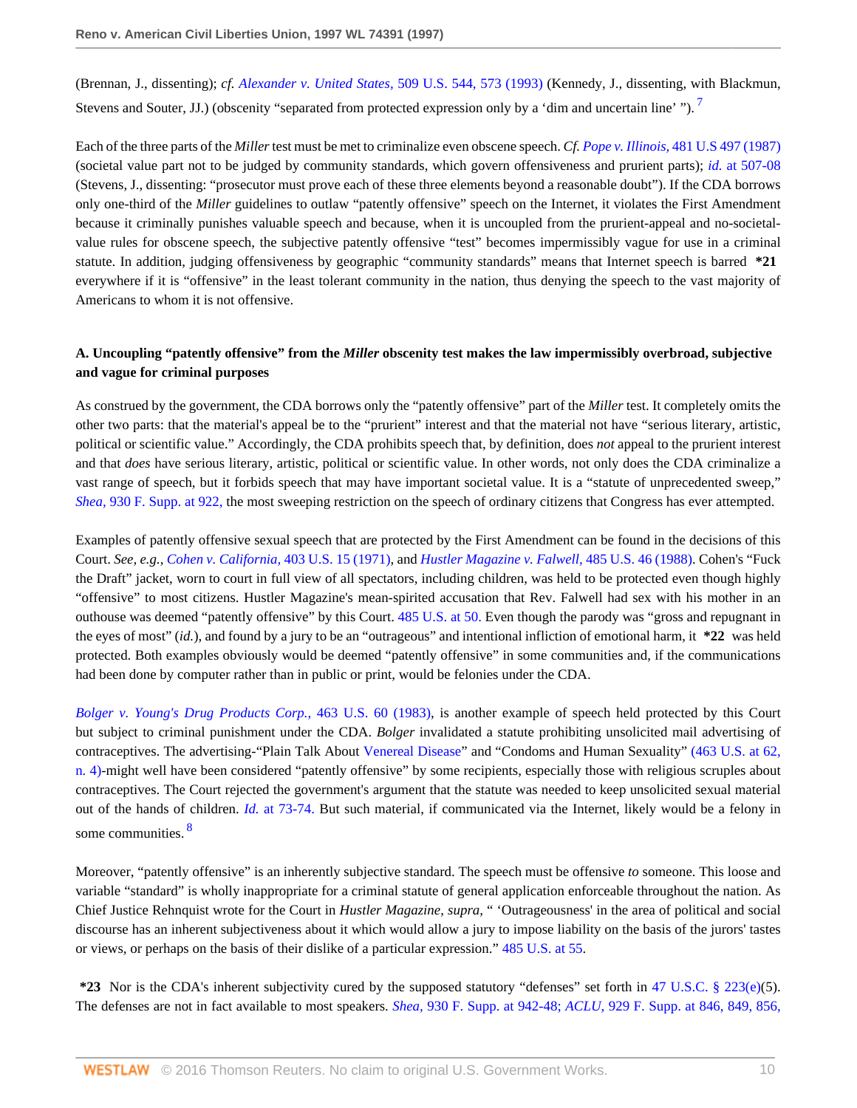<span id="page-9-0"></span>(Brennan, J., dissenting); *cf. [Alexander v. United States,](http://www.westlaw.com/Link/Document/FullText?findType=Y&serNum=1993130693&pubNum=780&originatingDoc=Iac6ea13847be11d98915dbcd77ee80bc&refType=RP&fi=co_pp_sp_780_573&originationContext=document&vr=3.0&rs=cblt1.0&transitionType=DocumentItem&contextData=(sc.Search)#co_pp_sp_780_573)* 509 U.S. 544, 573 (1993) (Kennedy, J., dissenting, with Blackmun, Stevens and Souter, JJ.) (obscenity "separated from protected expression only by a 'dim and uncertain line' ").<sup>[7](#page-12-6)</sup>

Each of the three parts of the *Miller* test must be met to criminalize even obscene speech. *Cf. Pope v. Illinois,* [481 U.S 497 \(1987\)](http://www.westlaw.com/Link/Document/FullText?findType=Y&serNum=1987056008&pubNum=780&originatingDoc=Iac6ea13847be11d98915dbcd77ee80bc&refType=RP&originationContext=document&vr=3.0&rs=cblt1.0&transitionType=DocumentItem&contextData=(sc.Search)) (societal value part not to be judged by community standards, which govern offensiveness and prurient parts); *id.* [at 507-08](http://www.westlaw.com/Link/Document/FullText?findType=Y&serNum=1987056008&originatingDoc=Iac6ea13847be11d98915dbcd77ee80bc&refType=RP&originationContext=document&vr=3.0&rs=cblt1.0&transitionType=DocumentItem&contextData=(sc.Search)) (Stevens, J., dissenting: "prosecutor must prove each of these three elements beyond a reasonable doubt"). If the CDA borrows only one-third of the *Miller* guidelines to outlaw "patently offensive" speech on the Internet, it violates the First Amendment because it criminally punishes valuable speech and because, when it is uncoupled from the prurient-appeal and no-societalvalue rules for obscene speech, the subjective patently offensive "test" becomes impermissibly vague for use in a criminal statute. In addition, judging offensiveness by geographic "community standards" means that Internet speech is barred **\*21** everywhere if it is "offensive" in the least tolerant community in the nation, thus denying the speech to the vast majority of Americans to whom it is not offensive.

### **A. Uncoupling "patently offensive" from the** *Miller* **obscenity test makes the law impermissibly overbroad, subjective and vague for criminal purposes**

As construed by the government, the CDA borrows only the "patently offensive" part of the *Miller* test. It completely omits the other two parts: that the material's appeal be to the "prurient" interest and that the material not have "serious literary, artistic, political or scientific value." Accordingly, the CDA prohibits speech that, by definition, does *not* appeal to the prurient interest and that *does* have serious literary, artistic, political or scientific value. In other words, not only does the CDA criminalize a vast range of speech, but it forbids speech that may have important societal value. It is a "statute of unprecedented sweep," *Shea,* [930 F. Supp. at 922,](http://www.westlaw.com/Link/Document/FullText?findType=Y&serNum=1996170565&pubNum=345&originatingDoc=Iac6ea13847be11d98915dbcd77ee80bc&refType=RP&fi=co_pp_sp_345_922&originationContext=document&vr=3.0&rs=cblt1.0&transitionType=DocumentItem&contextData=(sc.Search)#co_pp_sp_345_922) the most sweeping restriction on the speech of ordinary citizens that Congress has ever attempted.

Examples of patently offensive sexual speech that are protected by the First Amendment can be found in the decisions of this Court. *See, e.g., [Cohen v. California,](http://www.westlaw.com/Link/Document/FullText?findType=Y&serNum=1971127088&pubNum=780&originatingDoc=Iac6ea13847be11d98915dbcd77ee80bc&refType=RP&originationContext=document&vr=3.0&rs=cblt1.0&transitionType=DocumentItem&contextData=(sc.Search))* 403 U.S. 15 (1971), and *[Hustler Magazine v. Falwell,](http://www.westlaw.com/Link/Document/FullText?findType=Y&serNum=1988025713&pubNum=780&originatingDoc=Iac6ea13847be11d98915dbcd77ee80bc&refType=RP&originationContext=document&vr=3.0&rs=cblt1.0&transitionType=DocumentItem&contextData=(sc.Search))* 485 U.S. 46 (1988). Cohen's "Fuck the Draft" jacket, worn to court in full view of all spectators, including children, was held to be protected even though highly "offensive" to most citizens. Hustler Magazine's mean-spirited accusation that Rev. Falwell had sex with his mother in an outhouse was deemed "patently offensive" by this Court. [485 U.S. at 50.](http://www.westlaw.com/Link/Document/FullText?findType=Y&serNum=1988025713&pubNum=780&originatingDoc=Iac6ea13847be11d98915dbcd77ee80bc&refType=RP&fi=co_pp_sp_780_50&originationContext=document&vr=3.0&rs=cblt1.0&transitionType=DocumentItem&contextData=(sc.Search)#co_pp_sp_780_50) Even though the parody was "gross and repugnant in the eyes of most" (*id.*), and found by a jury to be an "outrageous" and intentional infliction of emotional harm, it **\*22** was held protected. Both examples obviously would be deemed "patently offensive" in some communities and, if the communications had been done by computer rather than in public or print, would be felonies under the CDA.

*[Bolger v. Young's Drug Products Corp.,](http://www.westlaw.com/Link/Document/FullText?findType=Y&serNum=1983129662&pubNum=780&originatingDoc=Iac6ea13847be11d98915dbcd77ee80bc&refType=RP&originationContext=document&vr=3.0&rs=cblt1.0&transitionType=DocumentItem&contextData=(sc.Search))* 463 U.S. 60 (1983), is another example of speech held protected by this Court but subject to criminal punishment under the CDA. *Bolger* invalidated a statute prohibiting unsolicited mail advertising of contraceptives. The advertising-"Plain Talk About [Venereal Disease"](http://www.westlaw.com/Link/Document/FullText?entityType=disease&entityId=Ic8edbc8c475411db9765f9243f53508a&originationContext=document&transitionType=DocumentItem&contextData=(sc.Default)&vr=3.0&rs=cblt1.0) and "Condoms and Human Sexuality" [\(463 U.S. at 62,](http://www.westlaw.com/Link/Document/FullText?findType=Y&serNum=1983129662&pubNum=780&originatingDoc=Iac6ea13847be11d98915dbcd77ee80bc&refType=RP&fi=co_pp_sp_780_62&originationContext=document&vr=3.0&rs=cblt1.0&transitionType=DocumentItem&contextData=(sc.Search)#co_pp_sp_780_62) [n. 4\)-](http://www.westlaw.com/Link/Document/FullText?findType=Y&serNum=1983129662&pubNum=780&originatingDoc=Iac6ea13847be11d98915dbcd77ee80bc&refType=RP&fi=co_pp_sp_780_62&originationContext=document&vr=3.0&rs=cblt1.0&transitionType=DocumentItem&contextData=(sc.Search)#co_pp_sp_780_62)might well have been considered "patently offensive" by some recipients, especially those with religious scruples about contraceptives. The Court rejected the government's argument that the statute was needed to keep unsolicited sexual material out of the hands of children. *Id.* [at 73-74.](http://www.westlaw.com/Link/Document/FullText?findType=Y&serNum=1983129662&originatingDoc=Iac6ea13847be11d98915dbcd77ee80bc&refType=RP&originationContext=document&vr=3.0&rs=cblt1.0&transitionType=DocumentItem&contextData=(sc.Search)) But such material, if communicated via the Internet, likely would be a felony in some communities. [8](#page-13-0)

<span id="page-9-1"></span>Moreover, "patently offensive" is an inherently subjective standard. The speech must be offensive *to* someone. This loose and variable "standard" is wholly inappropriate for a criminal statute of general application enforceable throughout the nation. As Chief Justice Rehnquist wrote for the Court in *Hustler Magazine, supra,* " 'Outrageousness' in the area of political and social discourse has an inherent subjectiveness about it which would allow a jury to impose liability on the basis of the jurors' tastes or views, or perhaps on the basis of their dislike of a particular expression." [485 U.S. at 55](http://www.westlaw.com/Link/Document/FullText?findType=Y&serNum=1988025713&pubNum=780&originatingDoc=Iac6ea13847be11d98915dbcd77ee80bc&refType=RP&fi=co_pp_sp_780_55&originationContext=document&vr=3.0&rs=cblt1.0&transitionType=DocumentItem&contextData=(sc.Search)#co_pp_sp_780_55).

**\*23** Nor is the CDA's inherent subjectivity cured by the supposed statutory "defenses" set forth in [47 U.S.C. § 223\(e\)\(](http://www.westlaw.com/Link/Document/FullText?findType=L&pubNum=1000546&cite=47USCAS223&originatingDoc=Iac6ea13847be11d98915dbcd77ee80bc&refType=RB&originationContext=document&vr=3.0&rs=cblt1.0&transitionType=DocumentItem&contextData=(sc.Search)#co_pp_7fdd00001ca15)5). The defenses are not in fact available to most speakers. *Shea,* [930 F. Supp. at 942-48;](http://www.westlaw.com/Link/Document/FullText?findType=Y&serNum=1996170565&pubNum=345&originatingDoc=Iac6ea13847be11d98915dbcd77ee80bc&refType=RP&fi=co_pp_sp_345_942&originationContext=document&vr=3.0&rs=cblt1.0&transitionType=DocumentItem&contextData=(sc.Search)#co_pp_sp_345_942) *ACLU,* [929 F. Supp. at 846, 849, 856,](http://www.westlaw.com/Link/Document/FullText?findType=Y&serNum=1996133365&pubNum=345&originatingDoc=Iac6ea13847be11d98915dbcd77ee80bc&refType=RP&fi=co_pp_sp_345_846&originationContext=document&vr=3.0&rs=cblt1.0&transitionType=DocumentItem&contextData=(sc.Search)#co_pp_sp_345_846)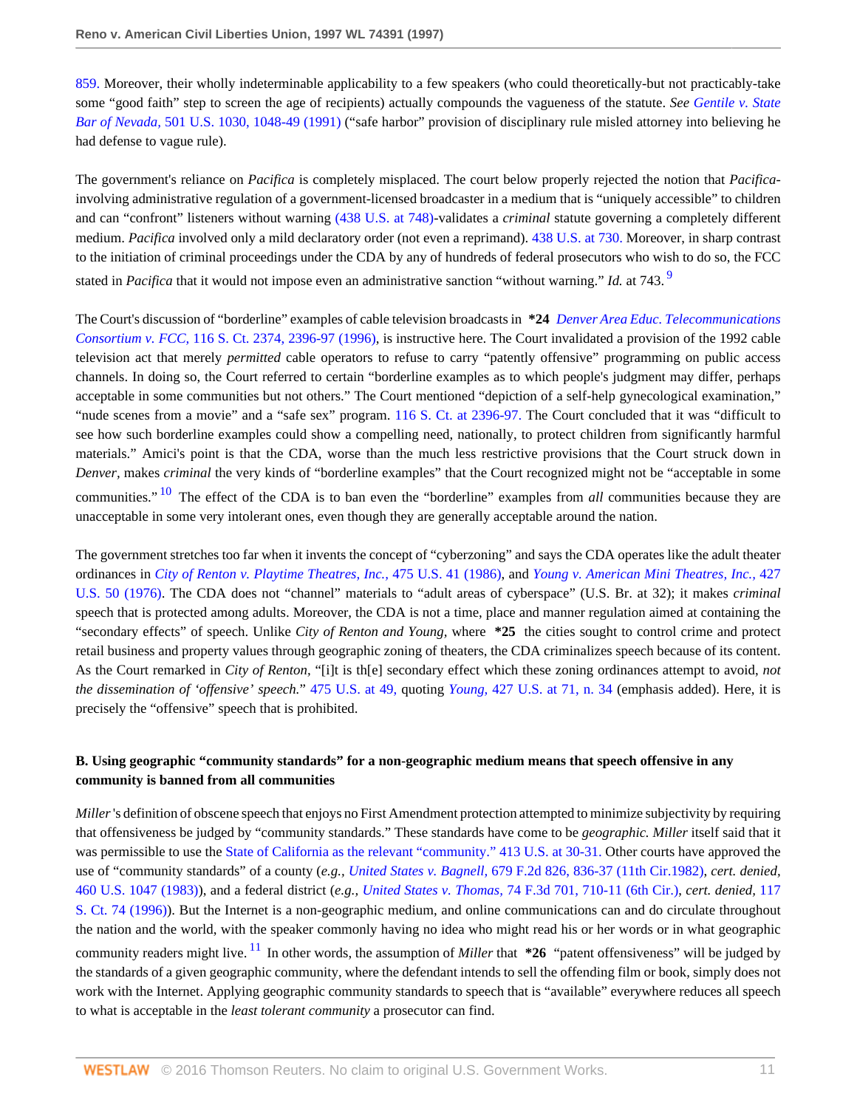[859.](http://www.westlaw.com/Link/Document/FullText?findType=Y&serNum=1996133365&pubNum=345&originatingDoc=Iac6ea13847be11d98915dbcd77ee80bc&refType=RP&fi=co_pp_sp_345_846&originationContext=document&vr=3.0&rs=cblt1.0&transitionType=DocumentItem&contextData=(sc.Search)#co_pp_sp_345_846) Moreover, their wholly indeterminable applicability to a few speakers (who could theoretically-but not practicably-take some "good faith" step to screen the age of recipients) actually compounds the vagueness of the statute. *See [Gentile v. State](http://www.westlaw.com/Link/Document/FullText?findType=Y&serNum=1991116017&pubNum=780&originatingDoc=Iac6ea13847be11d98915dbcd77ee80bc&refType=RP&fi=co_pp_sp_780_1048&originationContext=document&vr=3.0&rs=cblt1.0&transitionType=DocumentItem&contextData=(sc.Search)#co_pp_sp_780_1048) Bar of Nevada,* [501 U.S. 1030, 1048-49 \(1991\)](http://www.westlaw.com/Link/Document/FullText?findType=Y&serNum=1991116017&pubNum=780&originatingDoc=Iac6ea13847be11d98915dbcd77ee80bc&refType=RP&fi=co_pp_sp_780_1048&originationContext=document&vr=3.0&rs=cblt1.0&transitionType=DocumentItem&contextData=(sc.Search)#co_pp_sp_780_1048) ("safe harbor" provision of disciplinary rule misled attorney into believing he had defense to vague rule).

The government's reliance on *Pacifica* is completely misplaced. The court below properly rejected the notion that *Pacifica*involving administrative regulation of a government-licensed broadcaster in a medium that is "uniquely accessible" to children and can "confront" listeners without warning [\(438 U.S. at 748\)](http://www.westlaw.com/Link/Document/FullText?findType=Y&serNum=1978139517&pubNum=780&originatingDoc=Iac6ea13847be11d98915dbcd77ee80bc&refType=RP&fi=co_pp_sp_780_748&originationContext=document&vr=3.0&rs=cblt1.0&transitionType=DocumentItem&contextData=(sc.Search)#co_pp_sp_780_748)-validates a *criminal* statute governing a completely different medium. *Pacifica* involved only a mild declaratory order (not even a reprimand). [438 U.S. at 730.](http://www.westlaw.com/Link/Document/FullText?findType=Y&serNum=1978139517&pubNum=780&originatingDoc=Iac6ea13847be11d98915dbcd77ee80bc&refType=RP&fi=co_pp_sp_780_730&originationContext=document&vr=3.0&rs=cblt1.0&transitionType=DocumentItem&contextData=(sc.Search)#co_pp_sp_780_730) Moreover, in sharp contrast to the initiation of criminal proceedings under the CDA by any of hundreds of federal prosecutors who wish to do so, the FCC stated in *Pacifica* that it would not impose even an administrative sanction "without warning." *Id.* at 743. [9](#page-13-1)

<span id="page-10-0"></span>The Court's discussion of "borderline" examples of cable television broadcasts in **\*24** *[Denver Area Educ. Telecommunications](http://www.westlaw.com/Link/Document/FullText?findType=Y&serNum=1996144463&pubNum=708&originatingDoc=Iac6ea13847be11d98915dbcd77ee80bc&refType=RP&fi=co_pp_sp_708_2396&originationContext=document&vr=3.0&rs=cblt1.0&transitionType=DocumentItem&contextData=(sc.Search)#co_pp_sp_708_2396) Consortium v. FCC,* [116 S. Ct. 2374, 2396-97 \(1996\),](http://www.westlaw.com/Link/Document/FullText?findType=Y&serNum=1996144463&pubNum=708&originatingDoc=Iac6ea13847be11d98915dbcd77ee80bc&refType=RP&fi=co_pp_sp_708_2396&originationContext=document&vr=3.0&rs=cblt1.0&transitionType=DocumentItem&contextData=(sc.Search)#co_pp_sp_708_2396) is instructive here. The Court invalidated a provision of the 1992 cable television act that merely *permitted* cable operators to refuse to carry "patently offensive" programming on public access channels. In doing so, the Court referred to certain "borderline examples as to which people's judgment may differ, perhaps acceptable in some communities but not others." The Court mentioned "depiction of a self-help gynecological examination," "nude scenes from a movie" and a "safe sex" program. [116 S. Ct. at 2396-97.](http://www.westlaw.com/Link/Document/FullText?findType=Y&serNum=1996144463&pubNum=708&originatingDoc=Iac6ea13847be11d98915dbcd77ee80bc&refType=RP&fi=co_pp_sp_708_2396&originationContext=document&vr=3.0&rs=cblt1.0&transitionType=DocumentItem&contextData=(sc.Search)#co_pp_sp_708_2396) The Court concluded that it was "difficult to see how such borderline examples could show a compelling need, nationally, to protect children from significantly harmful materials." Amici's point is that the CDA, worse than the much less restrictive provisions that the Court struck down in *Denver,* makes *criminal* the very kinds of "borderline examples" that the Court recognized might not be "acceptable in some communities." [10](#page-13-2) The effect of the CDA is to ban even the "borderline" examples from *all* communities because they are unacceptable in some very intolerant ones, even though they are generally acceptable around the nation.

<span id="page-10-1"></span>The government stretches too far when it invents the concept of "cyberzoning" and says the CDA operates like the adult theater ordinances in *[City of Renton v. Playtime Theatres, Inc.,](http://www.westlaw.com/Link/Document/FullText?findType=Y&serNum=1986109853&pubNum=780&originatingDoc=Iac6ea13847be11d98915dbcd77ee80bc&refType=RP&originationContext=document&vr=3.0&rs=cblt1.0&transitionType=DocumentItem&contextData=(sc.Search))* 475 U.S. 41 (1986), and *[Young v. American Mini Theatres, Inc.,](http://www.westlaw.com/Link/Document/FullText?findType=Y&serNum=1976142421&pubNum=780&originatingDoc=Iac6ea13847be11d98915dbcd77ee80bc&refType=RP&originationContext=document&vr=3.0&rs=cblt1.0&transitionType=DocumentItem&contextData=(sc.Search))* 427 [U.S. 50 \(1976\).](http://www.westlaw.com/Link/Document/FullText?findType=Y&serNum=1976142421&pubNum=780&originatingDoc=Iac6ea13847be11d98915dbcd77ee80bc&refType=RP&originationContext=document&vr=3.0&rs=cblt1.0&transitionType=DocumentItem&contextData=(sc.Search)) The CDA does not "channel" materials to "adult areas of cyberspace" (U.S. Br. at 32); it makes *criminal* speech that is protected among adults. Moreover, the CDA is not a time, place and manner regulation aimed at containing the "secondary effects" of speech. Unlike *City of Renton and Young,* where **\*25** the cities sought to control crime and protect retail business and property values through geographic zoning of theaters, the CDA criminalizes speech because of its content. As the Court remarked in *City of Renton,* "[i]t is th[e] secondary effect which these zoning ordinances attempt to avoid, *not the dissemination of 'offensive' speech.*" [475 U.S. at 49,](http://www.westlaw.com/Link/Document/FullText?findType=Y&serNum=1986109853&pubNum=780&originatingDoc=Iac6ea13847be11d98915dbcd77ee80bc&refType=RP&fi=co_pp_sp_780_49&originationContext=document&vr=3.0&rs=cblt1.0&transitionType=DocumentItem&contextData=(sc.Search)#co_pp_sp_780_49) quoting *Young,* [427 U.S. at 71, n. 34](http://www.westlaw.com/Link/Document/FullText?findType=Y&serNum=1976142421&pubNum=780&originatingDoc=Iac6ea13847be11d98915dbcd77ee80bc&refType=RP&fi=co_pp_sp_780_71&originationContext=document&vr=3.0&rs=cblt1.0&transitionType=DocumentItem&contextData=(sc.Search)#co_pp_sp_780_71) (emphasis added). Here, it is precisely the "offensive" speech that is prohibited.

### **B. Using geographic "community standards" for a non-geographic medium means that speech offensive in any community is banned from all communities**

<span id="page-10-2"></span>*Miller* 's definition of obscene speech that enjoys no First Amendment protection attempted to minimize subjectivity by requiring that offensiveness be judged by "community standards." These standards have come to be *geographic. Miller* itself said that it was permissible to use the [State of California as the relevant "community." 413 U.S. at 30-31.](http://www.westlaw.com/Link/Document/FullText?findType=Y&serNum=1973126439&pubNum=780&originatingDoc=Iac6ea13847be11d98915dbcd77ee80bc&refType=RP&fi=co_pp_sp_780_30&originationContext=document&vr=3.0&rs=cblt1.0&transitionType=DocumentItem&contextData=(sc.Search)#co_pp_sp_780_30) Other courts have approved the use of "community standards" of a county (*e.g., United States v. Bagnell,* [679 F.2d 826, 836-37 \(11th Cir.1982\)](http://www.westlaw.com/Link/Document/FullText?findType=Y&serNum=1982126104&pubNum=350&originatingDoc=Iac6ea13847be11d98915dbcd77ee80bc&refType=RP&fi=co_pp_sp_350_836&originationContext=document&vr=3.0&rs=cblt1.0&transitionType=DocumentItem&contextData=(sc.Search)#co_pp_sp_350_836), *cert. denied,* [460 U.S. 1047 \(1983\)\)](http://www.westlaw.com/Link/Document/FullText?findType=Y&serNum=1983211994&pubNum=780&originatingDoc=Iac6ea13847be11d98915dbcd77ee80bc&refType=RP&originationContext=document&vr=3.0&rs=cblt1.0&transitionType=DocumentItem&contextData=(sc.Search)), and a federal district (*e.g., United States v. Thomas,* [74 F.3d 701, 710-11 \(6th Cir.\),](http://www.westlaw.com/Link/Document/FullText?findType=Y&serNum=1996038935&pubNum=506&originatingDoc=Iac6ea13847be11d98915dbcd77ee80bc&refType=RP&fi=co_pp_sp_506_710&originationContext=document&vr=3.0&rs=cblt1.0&transitionType=DocumentItem&contextData=(sc.Search)#co_pp_sp_506_710) *cert. denied,* [117](http://www.westlaw.com/Link/Document/FullText?findType=Y&serNum=1996139328&pubNum=708&originatingDoc=Iac6ea13847be11d98915dbcd77ee80bc&refType=RP&originationContext=document&vr=3.0&rs=cblt1.0&transitionType=DocumentItem&contextData=(sc.Search)) [S. Ct. 74 \(1996\)](http://www.westlaw.com/Link/Document/FullText?findType=Y&serNum=1996139328&pubNum=708&originatingDoc=Iac6ea13847be11d98915dbcd77ee80bc&refType=RP&originationContext=document&vr=3.0&rs=cblt1.0&transitionType=DocumentItem&contextData=(sc.Search))). But the Internet is a non-geographic medium, and online communications can and do circulate throughout the nation and the world, with the speaker commonly having no idea who might read his or her words or in what geographic community readers might live. [11](#page-13-3) In other words, the assumption of *Miller* that **\*26** "patent offensiveness" will be judged by the standards of a given geographic community, where the defendant intends to sell the offending film or book, simply does not work with the Internet. Applying geographic community standards to speech that is "available" everywhere reduces all speech to what is acceptable in the *least tolerant community* a prosecutor can find.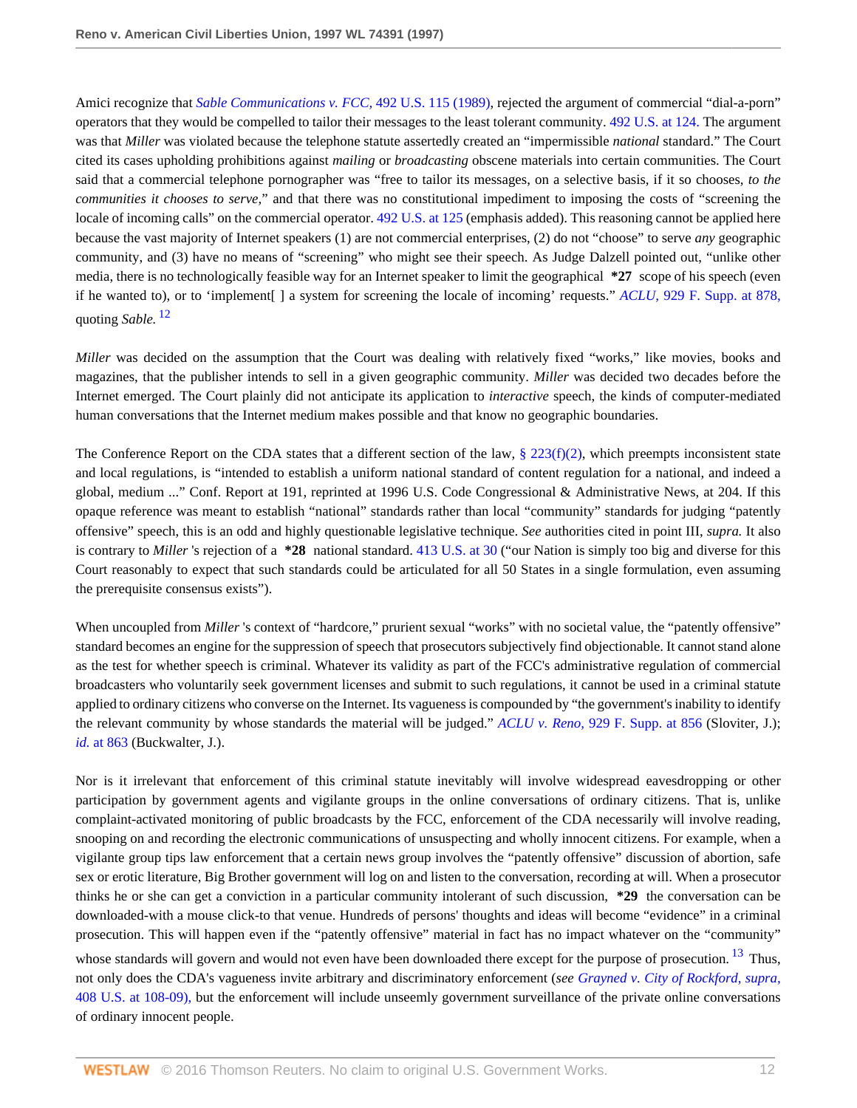Amici recognize that *[Sable Communications v. FCC,](http://www.westlaw.com/Link/Document/FullText?findType=Y&serNum=1989094018&pubNum=780&originatingDoc=Iac6ea13847be11d98915dbcd77ee80bc&refType=RP&originationContext=document&vr=3.0&rs=cblt1.0&transitionType=DocumentItem&contextData=(sc.Search))* 492 U.S. 115 (1989), rejected the argument of commercial "dial-a-porn" operators that they would be compelled to tailor their messages to the least tolerant community. [492 U.S. at 124.](http://www.westlaw.com/Link/Document/FullText?findType=Y&serNum=1989094018&pubNum=780&originatingDoc=Iac6ea13847be11d98915dbcd77ee80bc&refType=RP&fi=co_pp_sp_780_124&originationContext=document&vr=3.0&rs=cblt1.0&transitionType=DocumentItem&contextData=(sc.Search)#co_pp_sp_780_124) The argument was that *Miller* was violated because the telephone statute assertedly created an "impermissible *national* standard." The Court cited its cases upholding prohibitions against *mailing* or *broadcasting* obscene materials into certain communities. The Court said that a commercial telephone pornographer was "free to tailor its messages, on a selective basis, if it so chooses, *to the communities it chooses to serve,*" and that there was no constitutional impediment to imposing the costs of "screening the locale of incoming calls" on the commercial operator. [492 U.S. at 125](http://www.westlaw.com/Link/Document/FullText?findType=Y&serNum=1989094018&pubNum=780&originatingDoc=Iac6ea13847be11d98915dbcd77ee80bc&refType=RP&fi=co_pp_sp_780_125&originationContext=document&vr=3.0&rs=cblt1.0&transitionType=DocumentItem&contextData=(sc.Search)#co_pp_sp_780_125) (emphasis added). This reasoning cannot be applied here because the vast majority of Internet speakers (1) are not commercial enterprises, (2) do not "choose" to serve *any* geographic community, and (3) have no means of "screening" who might see their speech. As Judge Dalzell pointed out, "unlike other media, there is no technologically feasible way for an Internet speaker to limit the geographical **\*27** scope of his speech (even if he wanted to), or to 'implement[ ] a system for screening the locale of incoming' requests." *ACLU,* [929 F. Supp. at 878,](http://www.westlaw.com/Link/Document/FullText?findType=Y&serNum=1996133365&pubNum=345&originatingDoc=Iac6ea13847be11d98915dbcd77ee80bc&refType=RP&fi=co_pp_sp_345_878&originationContext=document&vr=3.0&rs=cblt1.0&transitionType=DocumentItem&contextData=(sc.Search)#co_pp_sp_345_878) quoting *Sable.* [12](#page-13-4)

<span id="page-11-0"></span>*Miller* was decided on the assumption that the Court was dealing with relatively fixed "works," like movies, books and magazines, that the publisher intends to sell in a given geographic community. *Miller* was decided two decades before the Internet emerged. The Court plainly did not anticipate its application to *interactive* speech, the kinds of computer-mediated human conversations that the Internet medium makes possible and that know no geographic boundaries.

The Conference Report on the CDA states that a different section of the law,  $\S 223(f)(2)$ , which preempts inconsistent state and local regulations, is "intended to establish a uniform national standard of content regulation for a national, and indeed a global, medium ..." Conf. Report at 191, reprinted at 1996 U.S. Code Congressional & Administrative News, at 204. If this opaque reference was meant to establish "national" standards rather than local "community" standards for judging "patently offensive" speech, this is an odd and highly questionable legislative technique. *See* authorities cited in point III, *supra.* It also is contrary to *Miller* 's rejection of a **\*28** national standard. [413 U.S. at 30](http://www.westlaw.com/Link/Document/FullText?findType=Y&serNum=1973126439&pubNum=780&originatingDoc=Iac6ea13847be11d98915dbcd77ee80bc&refType=RP&fi=co_pp_sp_780_30&originationContext=document&vr=3.0&rs=cblt1.0&transitionType=DocumentItem&contextData=(sc.Search)#co_pp_sp_780_30) ("our Nation is simply too big and diverse for this Court reasonably to expect that such standards could be articulated for all 50 States in a single formulation, even assuming the prerequisite consensus exists").

When uncoupled from *Miller* 's context of "hardcore," prurient sexual "works" with no societal value, the "patently offensive" standard becomes an engine for the suppression of speech that prosecutors subjectively find objectionable. It cannot stand alone as the test for whether speech is criminal. Whatever its validity as part of the FCC's administrative regulation of commercial broadcasters who voluntarily seek government licenses and submit to such regulations, it cannot be used in a criminal statute applied to ordinary citizens who converse on the Internet. Its vagueness is compounded by "the government's inability to identify the relevant community by whose standards the material will be judged." *ACLU v. Reno,* [929 F. Supp. at 856](http://www.westlaw.com/Link/Document/FullText?findType=Y&serNum=1996133365&pubNum=345&originatingDoc=Iac6ea13847be11d98915dbcd77ee80bc&refType=RP&fi=co_pp_sp_345_856&originationContext=document&vr=3.0&rs=cblt1.0&transitionType=DocumentItem&contextData=(sc.Search)#co_pp_sp_345_856) (Sloviter, J.); *id.* [at 863](http://www.westlaw.com/Link/Document/FullText?findType=Y&serNum=1996133365&originatingDoc=Iac6ea13847be11d98915dbcd77ee80bc&refType=RP&originationContext=document&vr=3.0&rs=cblt1.0&transitionType=DocumentItem&contextData=(sc.Search)) (Buckwalter, J.).

<span id="page-11-1"></span>Nor is it irrelevant that enforcement of this criminal statute inevitably will involve widespread eavesdropping or other participation by government agents and vigilante groups in the online conversations of ordinary citizens. That is, unlike complaint-activated monitoring of public broadcasts by the FCC, enforcement of the CDA necessarily will involve reading, snooping on and recording the electronic communications of unsuspecting and wholly innocent citizens. For example, when a vigilante group tips law enforcement that a certain news group involves the "patently offensive" discussion of abortion, safe sex or erotic literature, Big Brother government will log on and listen to the conversation, recording at will. When a prosecutor thinks he or she can get a conviction in a particular community intolerant of such discussion, **\*29** the conversation can be downloaded-with a mouse click-to that venue. Hundreds of persons' thoughts and ideas will become "evidence" in a criminal prosecution. This will happen even if the "patently offensive" material in fact has no impact whatever on the "community" whose standards will govern and would not even have been downloaded there except for the purpose of prosecution. <sup>[13](#page-13-5)</sup> Thus, not only does the CDA's vagueness invite arbitrary and discriminatory enforcement (*see [Grayned v. City of Rockford, supra,](http://www.westlaw.com/Link/Document/FullText?findType=Y&serNum=1972127175&pubNum=780&originatingDoc=Iac6ea13847be11d98915dbcd77ee80bc&refType=RP&fi=co_pp_sp_780_108&originationContext=document&vr=3.0&rs=cblt1.0&transitionType=DocumentItem&contextData=(sc.Search)#co_pp_sp_780_108)* [408 U.S. at 108-09\),](http://www.westlaw.com/Link/Document/FullText?findType=Y&serNum=1972127175&pubNum=780&originatingDoc=Iac6ea13847be11d98915dbcd77ee80bc&refType=RP&fi=co_pp_sp_780_108&originationContext=document&vr=3.0&rs=cblt1.0&transitionType=DocumentItem&contextData=(sc.Search)#co_pp_sp_780_108) but the enforcement will include unseemly government surveillance of the private online conversations of ordinary innocent people.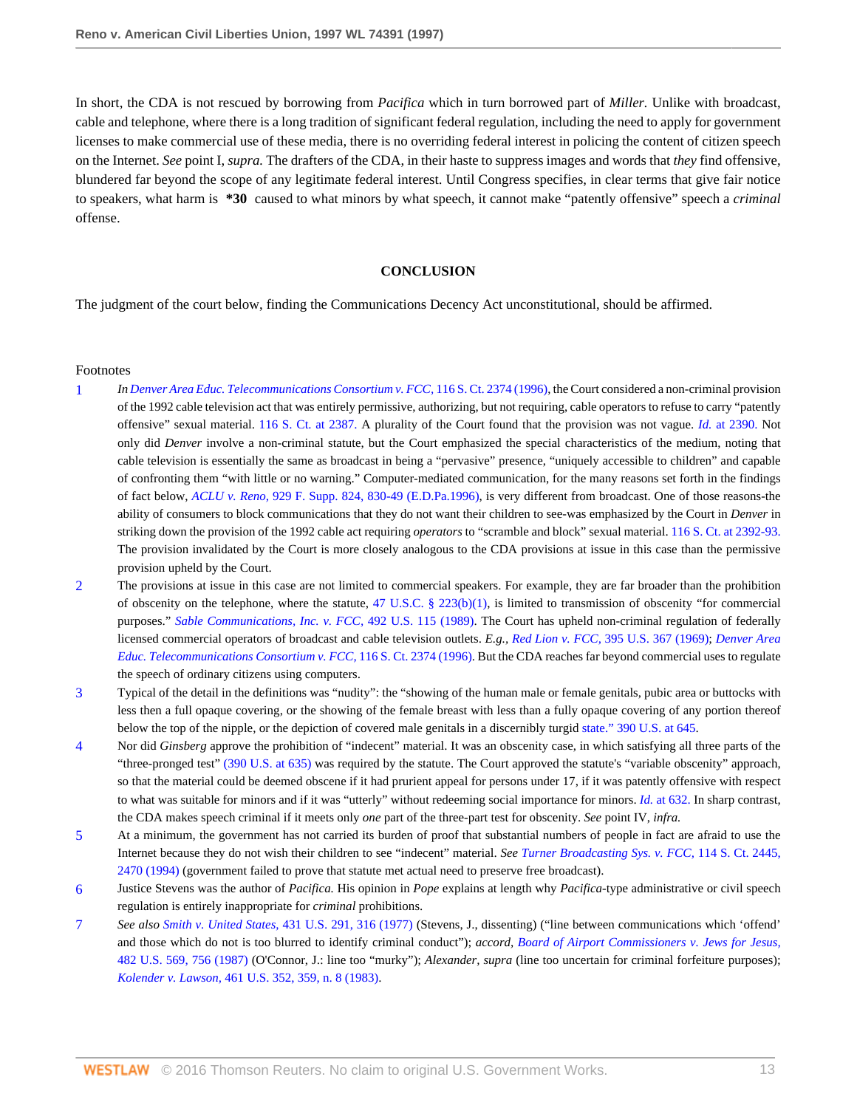In short, the CDA is not rescued by borrowing from *Pacifica* which in turn borrowed part of *Miller.* Unlike with broadcast, cable and telephone, where there is a long tradition of significant federal regulation, including the need to apply for government licenses to make commercial use of these media, there is no overriding federal interest in policing the content of citizen speech on the Internet. *See* point I, *supra.* The drafters of the CDA, in their haste to suppress images and words that *they* find offensive, blundered far beyond the scope of any legitimate federal interest. Until Congress specifies, in clear terms that give fair notice to speakers, what harm is **\*30** caused to what minors by what speech, it cannot make "patently offensive" speech a *criminal* offense.

#### **CONCLUSION**

The judgment of the court below, finding the Communications Decency Act unconstitutional, should be affirmed.

#### Footnotes

- <span id="page-12-0"></span>[1](#page-3-0) *In [Denver Area Educ. Telecommunications Consortium v. FCC,](http://www.westlaw.com/Link/Document/FullText?findType=Y&serNum=1996144463&pubNum=708&originatingDoc=Iac6ea13847be11d98915dbcd77ee80bc&refType=RP&originationContext=document&vr=3.0&rs=cblt1.0&transitionType=DocumentItem&contextData=(sc.Search))* 116 S. Ct. 2374 (1996), the Court considered a non-criminal provision of the 1992 cable television act that was entirely permissive, authorizing, but not requiring, cable operators to refuse to carry "patently offensive" sexual material. [116 S. Ct. at 2387.](http://www.westlaw.com/Link/Document/FullText?findType=Y&serNum=1996144463&pubNum=708&originatingDoc=Iac6ea13847be11d98915dbcd77ee80bc&refType=RP&fi=co_pp_sp_708_2387&originationContext=document&vr=3.0&rs=cblt1.0&transitionType=DocumentItem&contextData=(sc.Search)#co_pp_sp_708_2387) A plurality of the Court found that the provision was not vague. *Id.* [at 2390.](http://www.westlaw.com/Link/Document/FullText?findType=Y&serNum=1996144463&originatingDoc=Iac6ea13847be11d98915dbcd77ee80bc&refType=RP&originationContext=document&vr=3.0&rs=cblt1.0&transitionType=DocumentItem&contextData=(sc.Search)) Not only did *Denver* involve a non-criminal statute, but the Court emphasized the special characteristics of the medium, noting that cable television is essentially the same as broadcast in being a "pervasive" presence, "uniquely accessible to children" and capable of confronting them "with little or no warning." Computer-mediated communication, for the many reasons set forth in the findings of fact below, *ACLU v. Reno,* [929 F. Supp. 824, 830-49 \(E.D.Pa.1996\),](http://www.westlaw.com/Link/Document/FullText?findType=Y&serNum=1996133365&pubNum=345&originatingDoc=Iac6ea13847be11d98915dbcd77ee80bc&refType=RP&fi=co_pp_sp_345_830&originationContext=document&vr=3.0&rs=cblt1.0&transitionType=DocumentItem&contextData=(sc.Search)#co_pp_sp_345_830) is very different from broadcast. One of those reasons-the ability of consumers to block communications that they do not want their children to see-was emphasized by the Court in *Denver* in striking down the provision of the 1992 cable act requiring *operators* to "scramble and block" sexual material. [116 S. Ct. at 2392-93.](http://www.westlaw.com/Link/Document/FullText?findType=Y&serNum=1996144463&pubNum=708&originatingDoc=Iac6ea13847be11d98915dbcd77ee80bc&refType=RP&fi=co_pp_sp_708_2392&originationContext=document&vr=3.0&rs=cblt1.0&transitionType=DocumentItem&contextData=(sc.Search)#co_pp_sp_708_2392) The provision invalidated by the Court is more closely analogous to the CDA provisions at issue in this case than the permissive provision upheld by the Court.
- <span id="page-12-1"></span>[2](#page-4-0) The provisions at issue in this case are not limited to commercial speakers. For example, they are far broader than the prohibition of obscenity on the telephone, where the statute, [47 U.S.C. § 223\(b\)\(1\)](http://www.westlaw.com/Link/Document/FullText?findType=L&pubNum=1000546&cite=47USCAS223&originatingDoc=Iac6ea13847be11d98915dbcd77ee80bc&refType=RB&originationContext=document&vr=3.0&rs=cblt1.0&transitionType=DocumentItem&contextData=(sc.Search)#co_pp_3fed000053a85), is limited to transmission of obscenity "for commercial purposes." *[Sable Communications, Inc. v. FCC,](http://www.westlaw.com/Link/Document/FullText?findType=Y&serNum=1989094018&pubNum=780&originatingDoc=Iac6ea13847be11d98915dbcd77ee80bc&refType=RP&originationContext=document&vr=3.0&rs=cblt1.0&transitionType=DocumentItem&contextData=(sc.Search))* 492 U.S. 115 (1989). The Court has upheld non-criminal regulation of federally licensed commercial operators of broadcast and cable television outlets. *E.g., Red Lion v. FCC,* [395 U.S. 367 \(1969\);](http://www.westlaw.com/Link/Document/FullText?findType=Y&serNum=1969133002&pubNum=780&originatingDoc=Iac6ea13847be11d98915dbcd77ee80bc&refType=RP&originationContext=document&vr=3.0&rs=cblt1.0&transitionType=DocumentItem&contextData=(sc.Search)) *[Denver Area](http://www.westlaw.com/Link/Document/FullText?findType=Y&serNum=1996144463&pubNum=708&originatingDoc=Iac6ea13847be11d98915dbcd77ee80bc&refType=RP&originationContext=document&vr=3.0&rs=cblt1.0&transitionType=DocumentItem&contextData=(sc.Search)) [Educ. Telecommunications Consortium v. FCC,](http://www.westlaw.com/Link/Document/FullText?findType=Y&serNum=1996144463&pubNum=708&originatingDoc=Iac6ea13847be11d98915dbcd77ee80bc&refType=RP&originationContext=document&vr=3.0&rs=cblt1.0&transitionType=DocumentItem&contextData=(sc.Search))* 116 S. Ct. 2374 (1996). But the CDA reaches far beyond commercial uses to regulate the speech of ordinary citizens using computers.
- <span id="page-12-2"></span>[3](#page-5-0) Typical of the detail in the definitions was "nudity": the "showing of the human male or female genitals, pubic area or buttocks with less then a full opaque covering, or the showing of the female breast with less than a fully opaque covering of any portion thereof below the top of the nipple, or the depiction of covered male genitals in a discernibly turgid [state." 390 U.S. at 645](http://www.westlaw.com/Link/Document/FullText?findType=Y&serNum=1968131167&pubNum=780&originatingDoc=Iac6ea13847be11d98915dbcd77ee80bc&refType=RP&fi=co_pp_sp_780_645&originationContext=document&vr=3.0&rs=cblt1.0&transitionType=DocumentItem&contextData=(sc.Search)#co_pp_sp_780_645).
- <span id="page-12-3"></span>[4](#page-5-1) Nor did *Ginsberg* approve the prohibition of "indecent" material. It was an obscenity case, in which satisfying all three parts of the "three-pronged test" [\(390 U.S. at 635\)](http://www.westlaw.com/Link/Document/FullText?findType=Y&serNum=1968131167&pubNum=780&originatingDoc=Iac6ea13847be11d98915dbcd77ee80bc&refType=RP&fi=co_pp_sp_780_635&originationContext=document&vr=3.0&rs=cblt1.0&transitionType=DocumentItem&contextData=(sc.Search)#co_pp_sp_780_635) was required by the statute. The Court approved the statute's "variable obscenity" approach, so that the material could be deemed obscene if it had prurient appeal for persons under 17, if it was patently offensive with respect to what was suitable for minors and if it was "utterly" without redeeming social importance for minors. *Id.* [at 632.](http://www.westlaw.com/Link/Document/FullText?findType=Y&serNum=1968131167&originatingDoc=Iac6ea13847be11d98915dbcd77ee80bc&refType=RP&originationContext=document&vr=3.0&rs=cblt1.0&transitionType=DocumentItem&contextData=(sc.Search)) In sharp contrast, the CDA makes speech criminal if it meets only *one* part of the three-part test for obscenity. *See* point IV, *infra.*
- <span id="page-12-4"></span>[5](#page-5-2) At a minimum, the government has not carried its burden of proof that substantial numbers of people in fact are afraid to use the Internet because they do not wish their children to see "indecent" material. *See [Turner Broadcasting Sys. v. FCC,](http://www.westlaw.com/Link/Document/FullText?findType=Y&serNum=1994136435&pubNum=708&originatingDoc=Iac6ea13847be11d98915dbcd77ee80bc&refType=RP&fi=co_pp_sp_708_2470&originationContext=document&vr=3.0&rs=cblt1.0&transitionType=DocumentItem&contextData=(sc.Search)#co_pp_sp_708_2470)* 114 S. Ct. 2445, [2470 \(1994\)](http://www.westlaw.com/Link/Document/FullText?findType=Y&serNum=1994136435&pubNum=708&originatingDoc=Iac6ea13847be11d98915dbcd77ee80bc&refType=RP&fi=co_pp_sp_708_2470&originationContext=document&vr=3.0&rs=cblt1.0&transitionType=DocumentItem&contextData=(sc.Search)#co_pp_sp_708_2470) (government failed to prove that statute met actual need to preserve free broadcast).
- <span id="page-12-5"></span>[6](#page-8-0) Justice Stevens was the author of *Pacifica.* His opinion in *Pope* explains at length why *Pacifica*-type administrative or civil speech regulation is entirely inappropriate for *criminal* prohibitions.
- <span id="page-12-6"></span>[7](#page-9-0) *See also Smith v. United States,* [431 U.S. 291, 316 \(1977\)](http://www.westlaw.com/Link/Document/FullText?findType=Y&serNum=1977118780&pubNum=780&originatingDoc=Iac6ea13847be11d98915dbcd77ee80bc&refType=RP&fi=co_pp_sp_780_316&originationContext=document&vr=3.0&rs=cblt1.0&transitionType=DocumentItem&contextData=(sc.Search)#co_pp_sp_780_316) (Stevens, J., dissenting) ("line between communications which 'offend' and those which do not is too blurred to identify criminal conduct"); *accord, [Board of Airport Commissioners v. Jews for Jesus,](http://www.westlaw.com/Link/Document/FullText?findType=Y&serNum=1987074418&pubNum=780&originatingDoc=Iac6ea13847be11d98915dbcd77ee80bc&refType=RP&fi=co_pp_sp_780_756&originationContext=document&vr=3.0&rs=cblt1.0&transitionType=DocumentItem&contextData=(sc.Search)#co_pp_sp_780_756)* [482 U.S. 569, 756 \(1987\)](http://www.westlaw.com/Link/Document/FullText?findType=Y&serNum=1987074418&pubNum=780&originatingDoc=Iac6ea13847be11d98915dbcd77ee80bc&refType=RP&fi=co_pp_sp_780_756&originationContext=document&vr=3.0&rs=cblt1.0&transitionType=DocumentItem&contextData=(sc.Search)#co_pp_sp_780_756) (O'Connor, J.: line too "murky"); *Alexander, supra* (line too uncertain for criminal forfeiture purposes); *Kolender v. Lawson,* [461 U.S. 352, 359, n. 8 \(1983\)](http://www.westlaw.com/Link/Document/FullText?findType=Y&serNum=1983120391&pubNum=780&originatingDoc=Iac6ea13847be11d98915dbcd77ee80bc&refType=RP&fi=co_pp_sp_780_359&originationContext=document&vr=3.0&rs=cblt1.0&transitionType=DocumentItem&contextData=(sc.Search)#co_pp_sp_780_359).